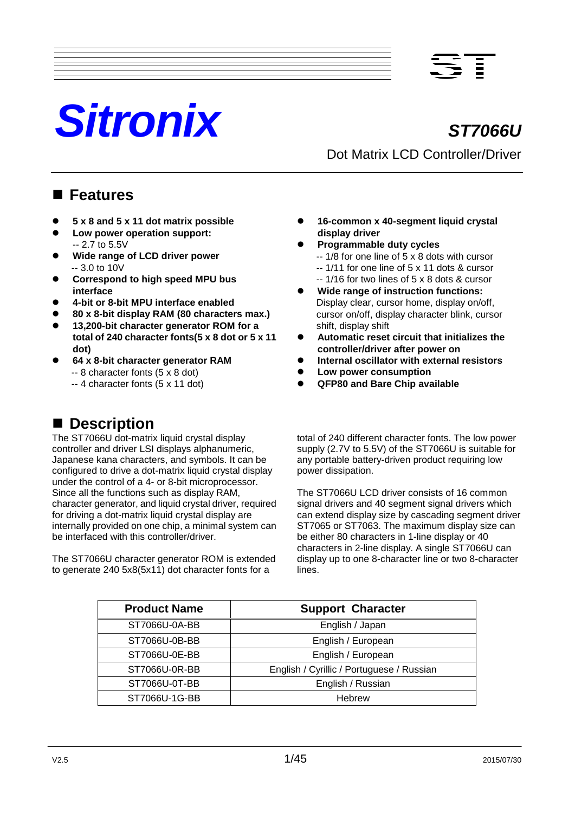# *Sitronix ST7066U*



## Dot Matrix LCD Controller/Driver

**16-common x 40-segment liquid crystal** 

-- 1/8 for one line of 5 x 8 dots with cursor -- 1/11 for one line of 5 x 11 dots & cursor -- 1/16 for two lines of 5 x 8 dots & cursor **Wide range of instruction functions:** Display clear, cursor home, display on/off, cursor on/off, display character blink, cursor

**Automatic reset circuit that initializes the**

**Internal oscillator with external resistors**

**controller/driver after power on**

 **Low power consumption QFP80 and Bare Chip available**

**display driver**

shift, display shift

power dissipation.

**Programmable duty cycles**

### **Features**

- **5 x 8 and 5 x 11 dot matrix possible**
- **Low power operation support:** -- 2.7 to 5.5V
- **Wide range of LCD driver power** -- 3.0 to 10V
- **Correspond to high speed MPU bus interface**
- **4-bit or 8-bit MPU interface enabled**
- **80 x 8-bit display RAM (80 characters max.)**
- **13,200-bit character generator ROM for a total of 240 character fonts(5 x 8 dot or 5 x 11 dot)**
- **64 x 8-bit character generator RAM** -- 8 character fonts (5 x 8 dot)
	- -- 4 character fonts (5 x 11 dot)

### ■ Description

The ST7066U dot-matrix liquid crystal display controller and driver LSI displays alphanumeric, Japanese kana characters, and symbols. It can be configured to drive a dot-matrix liquid crystal display under the control of a 4- or 8-bit microprocessor. Since all the functions such as display RAM, character generator, and liquid crystal driver, required for driving a dot-matrix liquid crystal display are internally provided on one chip, a minimal system can be interfaced with this controller/driver.

The ST7066U character generator ROM is extended to generate 240 5x8(5x11) dot character fonts for a

total of 240 different character fonts. The low power supply (2.7V to 5.5V) of the ST7066U is suitable for any portable battery-driven product requiring low

The ST7066U LCD driver consists of 16 common signal drivers and 40 segment signal drivers which can extend display size by cascading segment driver ST7065 or ST7063. The maximum display size can be either 80 characters in 1-line display or 40 characters in 2-line display. A single ST7066U can display up to one 8-character line or two 8-character lines.

| <b>Product Name</b> | <b>Support Character</b>                  |
|---------------------|-------------------------------------------|
| ST7066U-0A-BB       | English / Japan                           |
| ST7066U-0B-BB       | English / European                        |
| ST7066U-0E-BB       | English / European                        |
| ST7066U-0R-BB       | English / Cyrillic / Portuguese / Russian |
| ST7066U-0T-BB       | English / Russian                         |
| ST7066U-1G-BB       | <b>Hebrew</b>                             |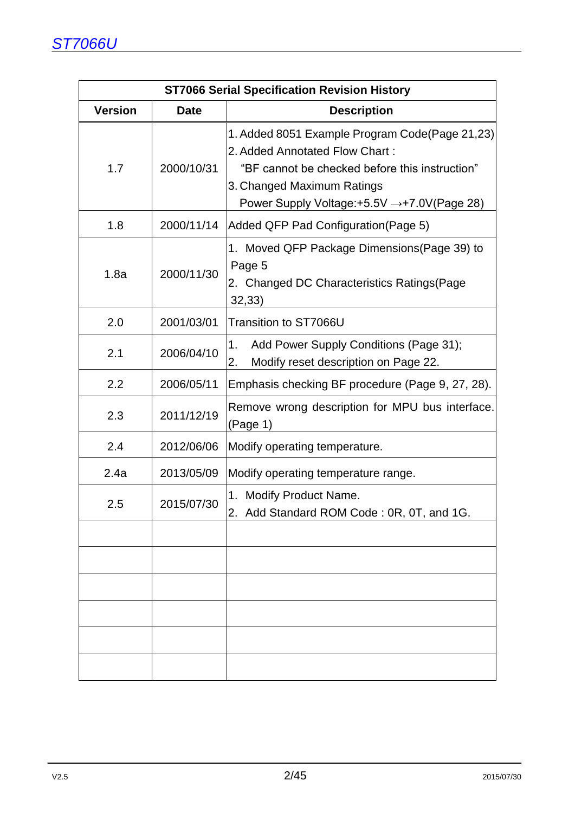|                |             | <b>ST7066 Serial Specification Revision History</b>                                                                                                                                                              |
|----------------|-------------|------------------------------------------------------------------------------------------------------------------------------------------------------------------------------------------------------------------|
| <b>Version</b> | <b>Date</b> | <b>Description</b>                                                                                                                                                                                               |
| 1.7            | 2000/10/31  | 1. Added 8051 Example Program Code(Page 21,23)<br>2. Added Annotated Flow Chart:<br>"BF cannot be checked before this instruction"<br>3. Changed Maximum Ratings<br>Power Supply Voltage: +5.5V → +7.0V(Page 28) |
| 1.8            | 2000/11/14  | Added QFP Pad Configuration (Page 5)                                                                                                                                                                             |
| 1.8a           | 2000/11/30  | 1. Moved QFP Package Dimensions (Page 39) to<br>Page 5<br>2. Changed DC Characteristics Ratings (Page<br>32,33)                                                                                                  |
| 2.0            | 2001/03/01  | Transition to ST7066U                                                                                                                                                                                            |
| 2.1            | 2006/04/10  | Add Power Supply Conditions (Page 31);<br>1.<br>Modify reset description on Page 22.<br>2.                                                                                                                       |
| 2.2            | 2006/05/11  | Emphasis checking BF procedure (Page 9, 27, 28).                                                                                                                                                                 |
| 2.3            | 2011/12/19  | Remove wrong description for MPU bus interface.<br>(Page 1)                                                                                                                                                      |
| 2.4            | 2012/06/06  | Modify operating temperature.                                                                                                                                                                                    |
| 2.4a           | 2013/05/09  | Modify operating temperature range.                                                                                                                                                                              |
| 2.5            | 2015/07/30  | 1. Modify Product Name.<br>2.<br>Add Standard ROM Code: 0R, 0T, and 1G                                                                                                                                           |
|                |             |                                                                                                                                                                                                                  |
|                |             |                                                                                                                                                                                                                  |
|                |             |                                                                                                                                                                                                                  |
|                |             |                                                                                                                                                                                                                  |
|                |             |                                                                                                                                                                                                                  |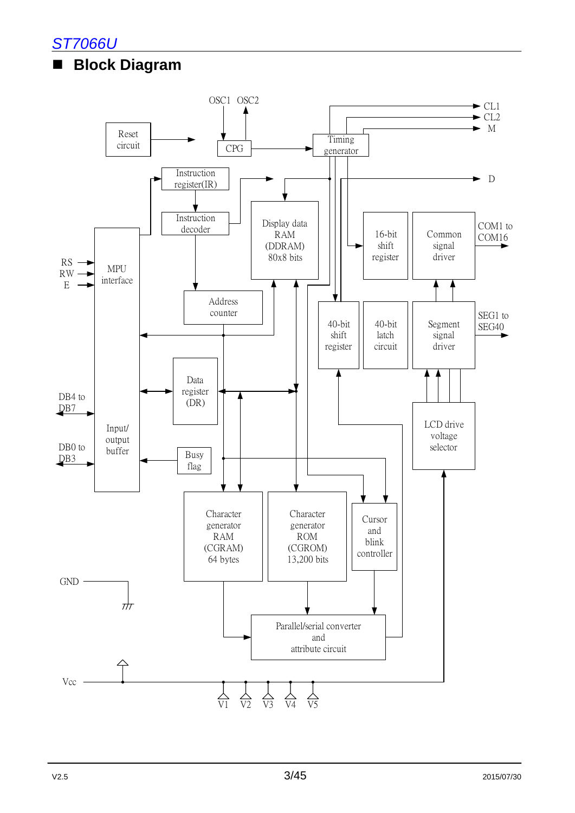

### **Block Diagram**

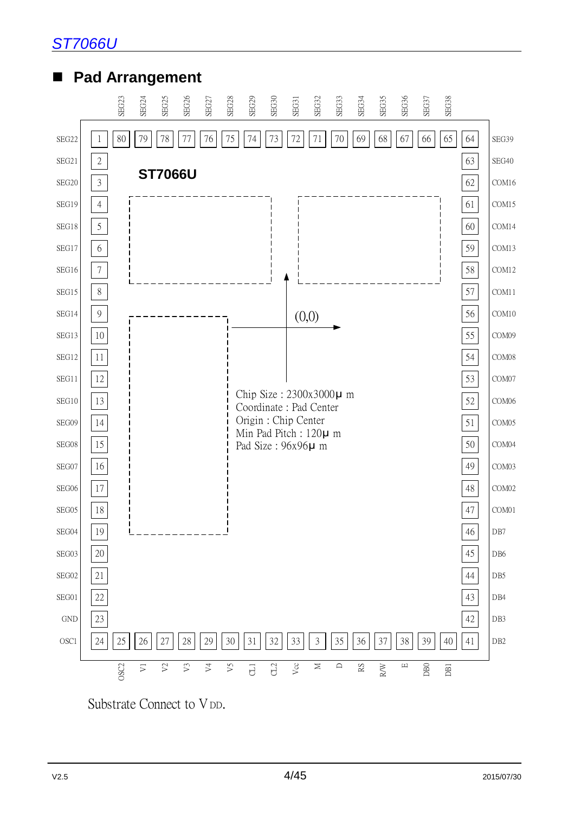

### ■ Pad Arrangement



Substrate Connect to V<sub>DD</sub>.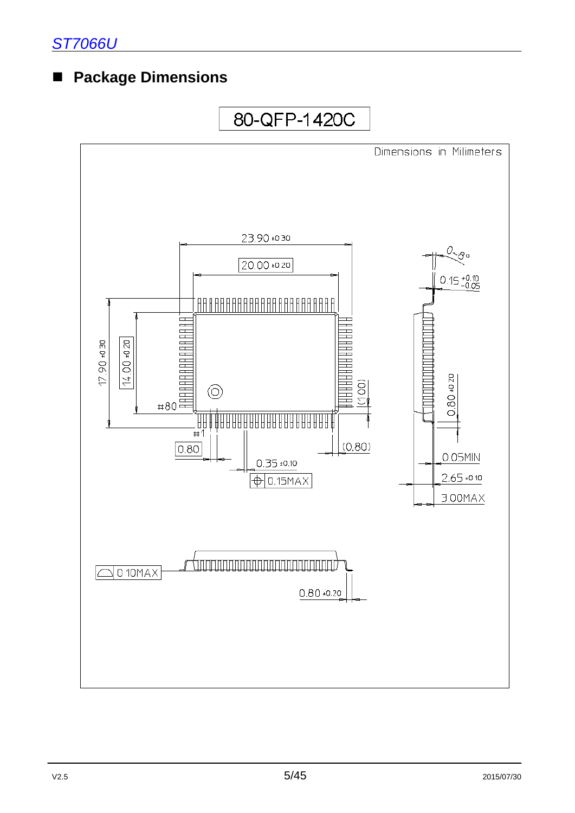### **Package Dimensions**

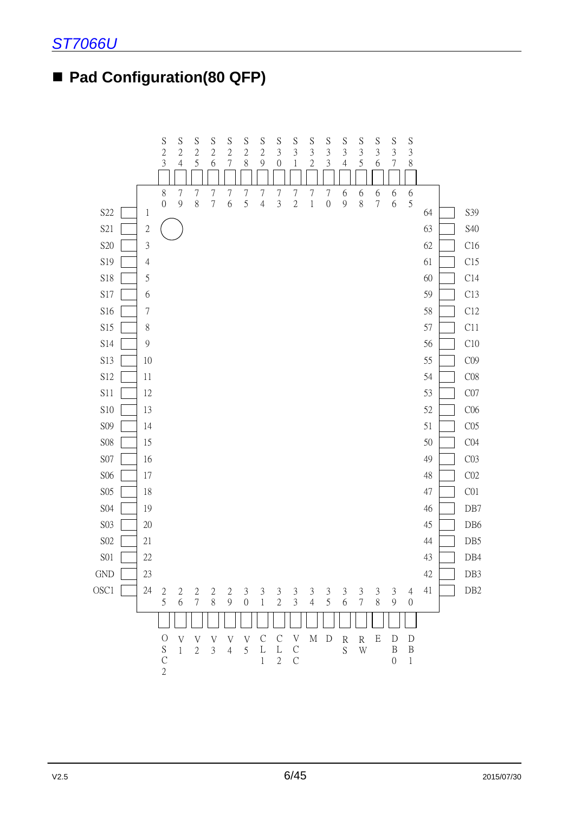### ■ Pad Configuration(80 QFP)

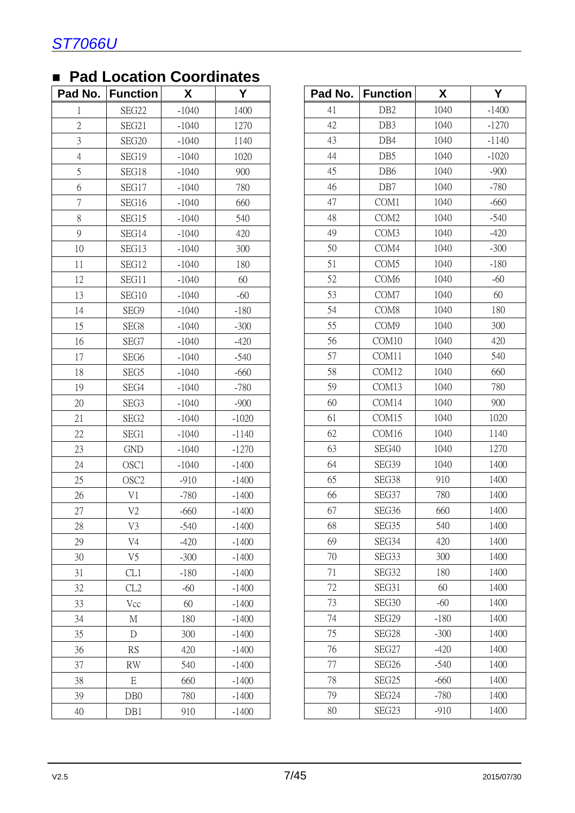|                | . uu Loounon v   |         |         |         |                   |        |                 |
|----------------|------------------|---------|---------|---------|-------------------|--------|-----------------|
| Pad No.        | <b>Function</b>  | X       | Y       | Pad No. | <b>Function</b>   | X      | Y               |
|                | SEG22            | $-1040$ | 1400    | 41      | DB <sub>2</sub>   | 1040   | $-140$          |
| $\overline{2}$ | SEG21            | $-1040$ | 1270    | 42      | DB3               | 1040   | $-12'$          |
| $\mathfrak{Z}$ | SEG20            | $-1040$ | 1140    | 43      | DB4               | 1040   | $-114$          |
| $\overline{4}$ | SEG19            | $-1040$ | 1020    | 44      | DB5               | 1040   | $-102$          |
| 5              | SEG18            | $-1040$ | 900     | 45      | DB <sub>6</sub>   | 1040   | $-90$           |
| 6              | SEG17            | $-1040$ | 780     | 46      | DB7               | 1040   | $-78$           |
| $\overline{7}$ | SEG16            | $-1040$ | 660     | 47      | COM1              | 1040   | $-66$           |
| 8              | SEG15            | $-1040$ | 540     | 48      | COM <sub>2</sub>  | 1040   | $-54$           |
| 9              | SEG14            | $-1040$ | 420     | 49      | COM3              | 1040   | $-42$           |
| 10             | SEG13            | $-1040$ | 300     | 50      | COM4              | 1040   | $-30$           |
| 11             | SEG12            | $-1040$ | 180     | 51      | COM <sub>5</sub>  | 1040   | $-18$           |
| 12             | SEG11            | $-1040$ | 60      | 52      | COM <sub>6</sub>  | 1040   | $-60$           |
| 13             | SEG10            | $-1040$ | $-60$   | 53      | COM7              | 1040   | 60              |
| 14             | SEG9             | $-1040$ | $-180$  | 54      | COM <sub>8</sub>  | 1040   | 18              |
| 15             | SEG8             | $-1040$ | $-300$  | 55      | COM9              | 1040   | 30              |
| 16             | SEG7             | $-1040$ | $-420$  | 56      | COM10             | 1040   | 42              |
| 17             | SEG <sub>6</sub> | $-1040$ | $-540$  | 57      | COM11             | 1040   | 54              |
| 18             | SEG5             | $-1040$ | $-660$  | 58      | COM12             | 1040   | 66              |
| 19             | SEG4             | $-1040$ | $-780$  | 59      | COM13             | 1040   | 78              |
| 20             | SEG3             | $-1040$ | $-900$  | 60      | COM14             | 1040   | 90              |
| 21             | SEG <sub>2</sub> | $-1040$ | $-1020$ | 61      | COM15             | 1040   | 102             |
| 22             | SEG1             | $-1040$ | $-1140$ | 62      | COM16             | 1040   | 11 <sup>2</sup> |
| 23             | <b>GND</b>       | $-1040$ | $-1270$ | 63      | SEG40             | 1040   | 127             |
| 24             | OSC1             | $-1040$ | $-1400$ | 64      | SEG39             | 1040   | 14(             |
| 25             | OSC <sub>2</sub> | $-910$  | $-1400$ | 65      | SEG38             | 910    | 14(             |
| 26             | V1               | $-780$  | $-1400$ | 66      | SEG37             | 780    | 140             |
| 27             | V <sub>2</sub>   | $-660$  | $-1400$ | 67      | SEG <sub>36</sub> | 660    | 140             |
| 28             | V3               | $-540$  | $-1400$ | 68      | SEG35             | 540    | 140             |
| 29             | V <sub>4</sub>   | $-420$  | $-1400$ | 69      | SEG34             | 420    | 140             |
| 30             | V <sub>5</sub>   | $-300$  | $-1400$ | 70      | SEG33             | 300    | 140             |
| 31             | CL1              | $-180$  | $-1400$ | 71      | SEG32             | 180    | 14(             |
| 32             | CL2              | $-60$   | $-1400$ | 72      | SEG31             | 60     | 14(             |
| 33             | Vcc              | 60      | $-1400$ | 73      | SEG30             | $-60$  | 14(             |
| 34             | М                | 180     | $-1400$ | 74      | SEG29             | $-180$ | 140             |
| 35             | $\mathbf D$      | 300     | $-1400$ | 75      | SEG28             | $-300$ | 14(             |
| 36             | RS               | 420     | $-1400$ | 76      | SEG27             | $-420$ | 140             |
| 37             | <b>RW</b>        | 540     | $-1400$ | 77      | SEG <sub>26</sub> | $-540$ | 140             |
| 38             | E                | 660     | $-1400$ | 78      | SEG25             | $-660$ | 14(             |
| 39             | DB <sub>0</sub>  | 780     | $-1400$ | 79      | SEG24             | $-780$ | 14(             |
| 40             | DB1              | 910     | $-1400$ | 80      | SEG23             | $-910$ | 14 <sup>°</sup> |

|  | <b>Pad Location Coordinates</b> |  |
|--|---------------------------------|--|
|  |                                 |  |

|                | aa Loodiion Oooraniatoo |         |         |
|----------------|-------------------------|---------|---------|
| d No.          | <b>Function</b>         | X       | Y       |
| $\mathbf{1}$   | SEG22                   | $-1040$ | 1400    |
| $\sqrt{2}$     | SEG21                   | $-1040$ | 1270    |
| $\overline{3}$ | SEG20                   | $-1040$ | 1140    |
| $\overline{4}$ | SEG19                   | $-1040$ | 1020    |
| 5              | SEG18                   | $-1040$ | 900     |
| 6              | SEG17                   | $-1040$ | 780     |
| $\overline{7}$ | SEG16                   | $-1040$ | 660     |
| $8\,$          | SEG15                   | $-1040$ | 540     |
| 9              | SEG14                   | $-1040$ | 420     |
| 10             | SEG13                   | $-1040$ | 300     |
| 11             | SEG12                   | $-1040$ | 180     |
| 12             | SEG11                   | $-1040$ | 60      |
| 13             | SEG10                   | $-1040$ | $-60$   |
| 14             | SEG9                    | $-1040$ | $-180$  |
| 15             | SEG8                    | $-1040$ | $-300$  |
| 16             | SEG7                    | $-1040$ | $-420$  |
| 17             | SEG <sub>6</sub>        | $-1040$ | $-540$  |
| 18             | SEG5                    | $-1040$ | $-660$  |
| 19             | SEG4                    | $-1040$ | $-780$  |
| 20             | SEG3                    | $-1040$ | $-900$  |
| 21             | SEG <sub>2</sub>        | $-1040$ | $-1020$ |
| 22             | SEG1                    | $-1040$ | $-1140$ |
| 23             | <b>GND</b>              | $-1040$ | $-1270$ |
| 24             | OSC1                    | $-1040$ | $-1400$ |
| 25             | OSC <sub>2</sub>        | $-910$  | $-1400$ |
| 26             | V1                      | $-780$  | $-1400$ |
| 27             | V <sub>2</sub>          | $-660$  | $-1400$ |
| 28             | V <sub>3</sub>          | $-540$  | $-1400$ |
| 29             | V <sub>4</sub>          | $-420$  | $-1400$ |
| 30             | V <sub>5</sub>          | $-300$  | $-1400$ |
| 31             | CL1                     | $-180$  | $-1400$ |
| 32             | CL2                     | $-60$   | $-1400$ |
| 33             | Vcc                     | 60      | $-1400$ |
| 34             | М                       | 180     | $-1400$ |
| 35             | D                       | 300     | $-1400$ |
| 36             | <b>RS</b>               | 420     | $-1400$ |
| 37             | <b>RW</b>               | 540     | $-1400$ |
| 38             | $\mathbf E$             | 660     | $-1400$ |
| 39             | DB <sub>0</sub>         | 780     | $-1400$ |
| 40             | DB1                     | 910     | $-1400$ |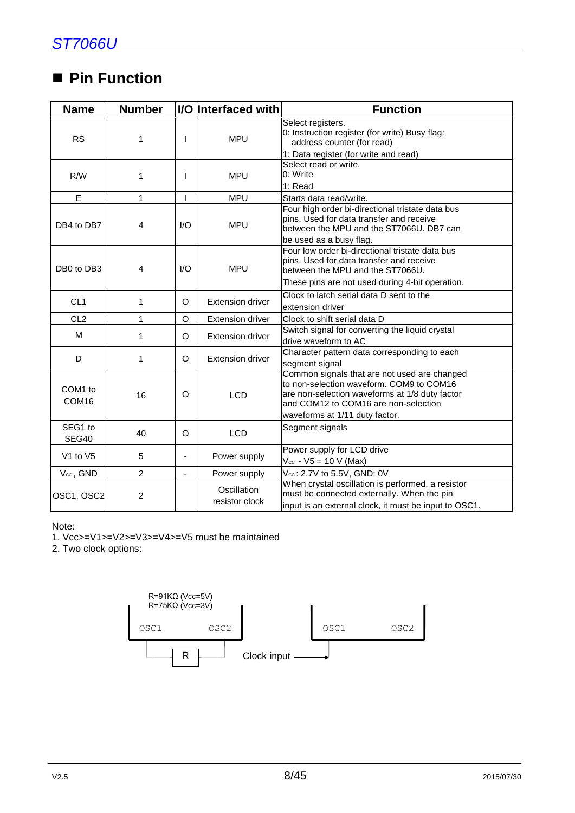### ■ Pin Function

| <b>Name</b>                  | <b>Number</b>  |                               | I/O Interfaced with                                                                                                                                      | <b>Function</b>                                                                                                                                                                                                      |  |  |  |  |  |  |  |  |
|------------------------------|----------------|-------------------------------|----------------------------------------------------------------------------------------------------------------------------------------------------------|----------------------------------------------------------------------------------------------------------------------------------------------------------------------------------------------------------------------|--|--|--|--|--|--|--|--|
| <b>RS</b>                    | 1              | T                             | <b>MPU</b>                                                                                                                                               | Select registers.<br>0: Instruction register (for write) Busy flag:<br>address counter (for read)                                                                                                                    |  |  |  |  |  |  |  |  |
|                              |                |                               |                                                                                                                                                          | 1: Data register (for write and read)                                                                                                                                                                                |  |  |  |  |  |  |  |  |
| R/W                          | 1              | L                             | <b>MPU</b>                                                                                                                                               | Select read or write.<br>0: Write                                                                                                                                                                                    |  |  |  |  |  |  |  |  |
|                              |                |                               |                                                                                                                                                          | 1: Read                                                                                                                                                                                                              |  |  |  |  |  |  |  |  |
| E                            | $\mathbf{1}$   | L                             | <b>MPU</b>                                                                                                                                               | Starts data read/write.<br>Four high order bi-directional tristate data bus                                                                                                                                          |  |  |  |  |  |  |  |  |
| DB4 to DB7                   | 4              | 1/O                           | <b>MPU</b>                                                                                                                                               | pins. Used for data transfer and receive<br>between the MPU and the ST7066U. DB7 can                                                                                                                                 |  |  |  |  |  |  |  |  |
|                              |                |                               |                                                                                                                                                          | be used as a busy flag.                                                                                                                                                                                              |  |  |  |  |  |  |  |  |
| DB0 to DB3                   | 4              | I/O<br><b>MPU</b>             |                                                                                                                                                          | Four low order bi-directional tristate data bus<br>pins. Used for data transfer and receive<br>between the MPU and the ST7066U.                                                                                      |  |  |  |  |  |  |  |  |
|                              |                |                               |                                                                                                                                                          | These pins are not used during 4-bit operation.                                                                                                                                                                      |  |  |  |  |  |  |  |  |
|                              |                |                               |                                                                                                                                                          | Clock to latch serial data D sent to the                                                                                                                                                                             |  |  |  |  |  |  |  |  |
| CL <sub>1</sub>              | $\mathbf 1$    | $\Omega$                      | Extension driver                                                                                                                                         | extension driver                                                                                                                                                                                                     |  |  |  |  |  |  |  |  |
| CL <sub>2</sub>              | 1              | O                             | <b>Extension driver</b>                                                                                                                                  | Clock to shift serial data D                                                                                                                                                                                         |  |  |  |  |  |  |  |  |
| M                            |                |                               |                                                                                                                                                          | Switch signal for converting the liquid crystal                                                                                                                                                                      |  |  |  |  |  |  |  |  |
|                              | 1              | O                             | <b>Extension driver</b>                                                                                                                                  | drive waveform to AC                                                                                                                                                                                                 |  |  |  |  |  |  |  |  |
| D                            | 1              | O                             | <b>Extension driver</b>                                                                                                                                  | Character pattern data corresponding to each<br>segment signal                                                                                                                                                       |  |  |  |  |  |  |  |  |
| COM1 to<br>COM <sub>16</sub> | 16             | $\circ$                       | <b>LCD</b>                                                                                                                                               | Common signals that are not used are changed<br>to non-selection waveform. COM9 to COM16<br>are non-selection waveforms at 1/8 duty factor<br>and COM12 to COM16 are non-selection<br>waveforms at 1/11 duty factor. |  |  |  |  |  |  |  |  |
| SEG1 to<br>SEG40             | 40             | O                             | <b>LCD</b>                                                                                                                                               | Segment signals                                                                                                                                                                                                      |  |  |  |  |  |  |  |  |
| V1 to V5                     | 5              |                               | Power supply                                                                                                                                             | Power supply for LCD drive<br>$V_{\text{cc}}$ - V5 = 10 V (Max)                                                                                                                                                      |  |  |  |  |  |  |  |  |
| Vcc, GND                     | $\overline{2}$ |                               | Power supply                                                                                                                                             | Vcc: 2.7V to 5.5V, GND: 0V                                                                                                                                                                                           |  |  |  |  |  |  |  |  |
| OSC1, OSC2<br>$\overline{2}$ |                | Oscillation<br>resistor clock | When crystal oscillation is performed, a resistor<br>must be connected externally. When the pin<br>input is an external clock, it must be input to OSC1. |                                                                                                                                                                                                                      |  |  |  |  |  |  |  |  |

#### Note:

1. Vcc>=V1>=V2>=V3>=V4>=V5 must be maintained

2. Two clock options:

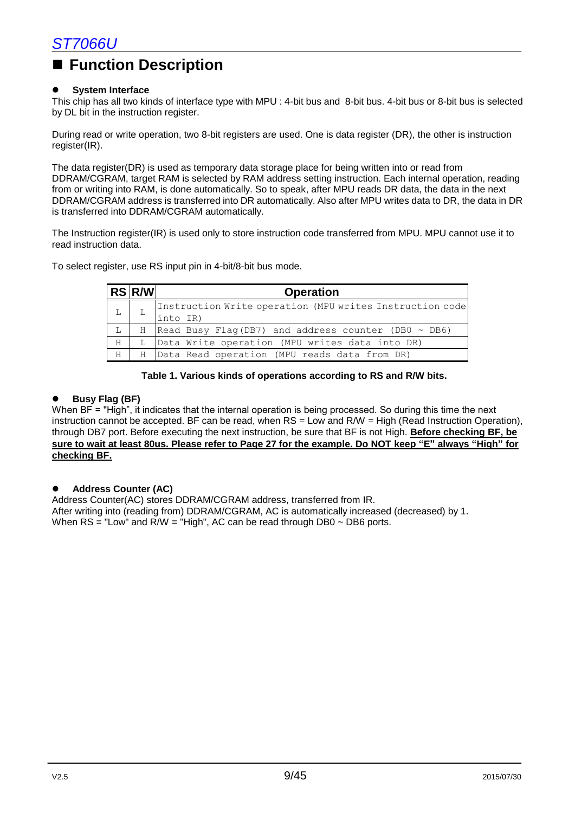### **Function Description**

#### **System Interface**

This chip has all two kinds of interface type with MPU : 4-bit bus and 8-bit bus. 4-bit bus or 8-bit bus is selected by DL bit in the instruction register.

During read or write operation, two 8-bit registers are used. One is data register (DR), the other is instruction register(IR).

The data register(DR) is used as temporary data storage place for being written into or read from DDRAM/CGRAM, target RAM is selected by RAM address setting instruction. Each internal operation, reading from or writing into RAM, is done automatically. So to speak, after MPU reads DR data, the data in the next DDRAM/CGRAM address is transferred into DR automatically. Also after MPU writes data to DR, the data in DR is transferred into DDRAM/CGRAM automatically.

The Instruction register(IR) is used only to store instruction code transferred from MPU. MPU cannot use it to read instruction data.

To select register, use RS input pin in 4-bit/8-bit bus mode.

|   | $ RS $ R/W | <b>Operation</b>                                         |
|---|------------|----------------------------------------------------------|
|   |            | Instruction Write operation (MPU writes Instruction code |
|   |            | into IR)                                                 |
| L | H          | Read Busy Flag(DB7) and address counter (DB0 $\sim$ DB6) |
| H | L          | Data Write operation (MPU writes data into DR)           |
| H | H.         | Data Read operation (MPU reads data from DR)             |

#### **Table 1. Various kinds of operations according to RS and R/W bits.**

#### **Busy Flag (BF)**

When BF = "High", it indicates that the internal operation is being processed. So during this time the next instruction cannot be accepted. BF can be read, when RS = Low and R/W = High (Read Instruction Operation), through DB7 port. Before executing the next instruction, be sure that BF is not High. **Before checking BF, be sure to wait at least 80us. Please refer to Page 27 for the example. Do NOT keep "E" always "High" for checking BF.**

#### **Address Counter (AC)**

Address Counter(AC) stores DDRAM/CGRAM address, transferred from IR. After writing into (reading from) DDRAM/CGRAM, AC is automatically increased (decreased) by 1. When  $RS = "Low"$  and  $R/W = "High", AC can be read through DB0 ~ DB6 ports.$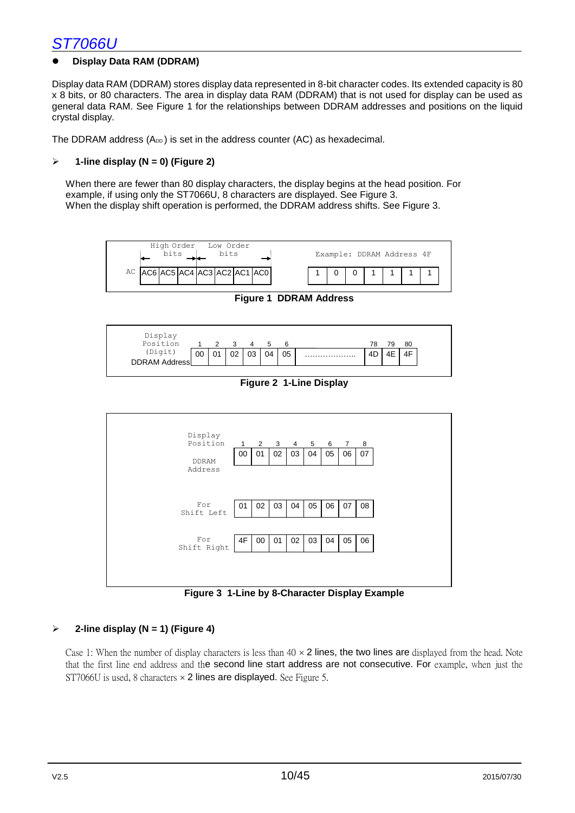#### **Display Data RAM (DDRAM)**

Display data RAM (DDRAM) stores display data represented in 8-bit character codes. Its extended capacity is 80 x 8 bits, or 80 characters. The area in display data RAM (DDRAM) that is not used for display can be used as general data RAM. See Figure 1 for the relationships between DDRAM addresses and positions on the liquid crystal display.

The DDRAM address  $(A_{DD})$  is set in the address counter  $(AC)$  as hexadecimal.

#### **1-line display (N = 0) (Figure 2)**

When there are fewer than 80 display characters, the display begins at the head position. For example, if using only the ST7066U, 8 characters are displayed. See Figure 3. When the display shift operation is performed, the DDRAM address shifts. See Figure 3.



**Figure 1 DDRAM Address**



**Figure 2 1-Line Display**



**Figure 3 1-Line by 8-Character Display Example**

#### **2-line display (N = 1) (Figure 4)**

Case 1: When the number of display characters is less than  $40 \times 2$  lines, the two lines are displayed from the head. Note that the first line end address and the second line start address are not consecutive. For example, when just the ST7066U is used, 8 characters  $\times$  2 lines are displayed. See Figure 5.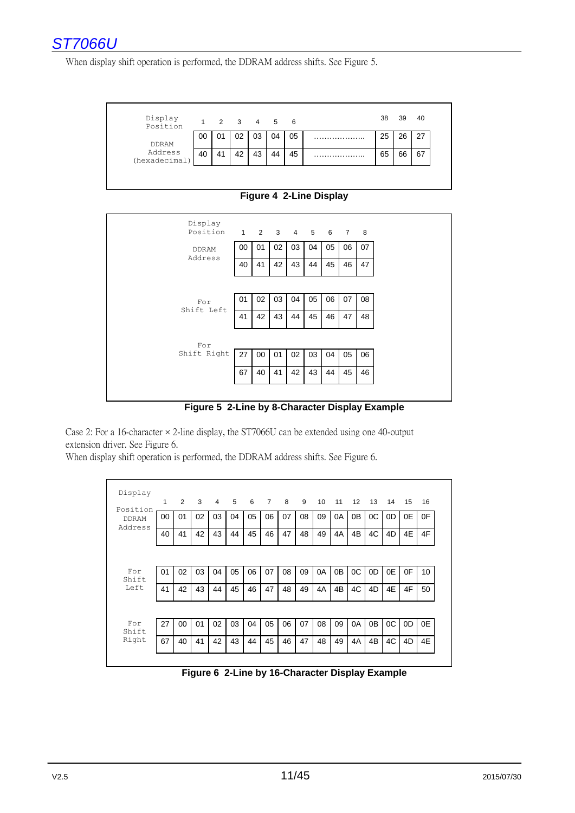

When display shift operation is performed, the DDRAM address shifts. See Figure 5.



**Figure 4 2-Line Display**



**Figure 5 2-Line by 8-Character Display Example**

Case 2: For a 16-character  $\times$  2-line display, the ST7066U can be extended using one 40-output extension driver. See Figure 6.

When display shift operation is performed, the DDRAM address shifts. See Figure 6.

| Display                  | 1  | 2  | 3  | 4  | 5  | 6  | $\overline{7}$ | 8  | 9  | 10 | 11             | 12             | 13             | 14 | 15 | 16 |
|--------------------------|----|----|----|----|----|----|----------------|----|----|----|----------------|----------------|----------------|----|----|----|
| Position<br><b>DDRAM</b> | 00 | 01 | 02 | 03 | 04 | 05 | 06             | 07 | 08 | 09 | 0A             | 0 <sub>B</sub> | OC             | 0D | 0E | 0F |
| Address                  | 40 | 41 | 42 | 43 | 44 | 45 | 46             | 47 | 48 | 49 | 4A             | 4B             | 4C             | 4D | 4E | 4F |
|                          |    |    |    |    |    |    |                |    |    |    |                |                |                |    |    |    |
| For<br>Shift             | 01 | 02 | 03 | 04 | 05 | 06 | 07             | 08 | 09 | 0A | 0 <sub>B</sub> | OC             | 0D             | 0E | 0F | 10 |
| Left                     | 41 | 42 | 43 | 44 | 45 | 46 | 47             | 48 | 49 | 4A | 4B             | 4C             | 4D             | 4E | 4F | 50 |
|                          |    |    |    |    |    |    |                |    |    |    |                |                |                |    |    |    |
| For<br>Shift             | 27 | 00 | 01 | 02 | 03 | 04 | 05             | 06 | 07 | 08 | 09             | 0A             | 0 <sub>B</sub> | OC | 0D | 0E |
| Right                    | 67 | 40 | 41 | 42 | 43 | 44 | 45             | 46 | 47 | 48 | 49             | 4A             | 4B             | 4C | 4D | 4E |

**Figure 6 2-Line by 16-Character Display Example**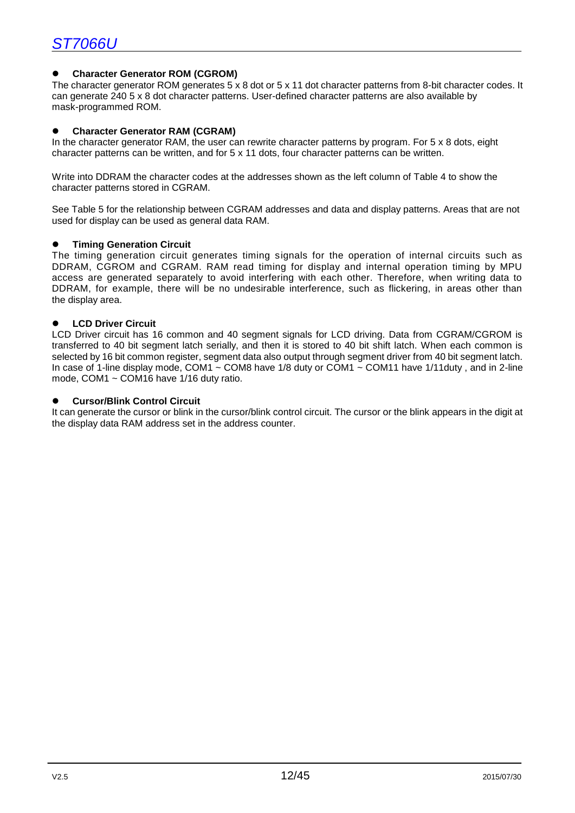#### **Character Generator ROM (CGROM)**

The character generator ROM generates 5 x 8 dot or 5 x 11 dot character patterns from 8-bit character codes. It can generate 240 5 x 8 dot character patterns. User-defined character patterns are also available by mask-programmed ROM.

#### **Character Generator RAM (CGRAM)**

In the character generator RAM, the user can rewrite character patterns by program. For 5 x 8 dots, eight character patterns can be written, and for 5 x 11 dots, four character patterns can be written.

Write into DDRAM the character codes at the addresses shown as the left column of Table 4 to show the character patterns stored in CGRAM.

See Table 5 for the relationship between CGRAM addresses and data and display patterns. Areas that are not used for display can be used as general data RAM.

#### **Timing Generation Circuit**

The timing generation circuit generates timing signals for the operation of internal circuits such as DDRAM, CGROM and CGRAM. RAM read timing for display and internal operation timing by MPU access are generated separately to avoid interfering with each other. Therefore, when writing data to DDRAM, for example, there will be no undesirable interference, such as flickering, in areas other than the display area.

#### **LCD Driver Circuit**

LCD Driver circuit has 16 common and 40 segment signals for LCD driving. Data from CGRAM/CGROM is transferred to 40 bit segment latch serially, and then it is stored to 40 bit shift latch. When each common is selected by 16 bit common register, segment data also output through segment driver from 40 bit segment latch. In case of 1-line display mode, COM1  $\sim$  COM8 have 1/8 duty or COM1  $\sim$  COM11 have 1/11duty, and in 2-line mode, COM1 ~ COM16 have 1/16 duty ratio.

#### **Cursor/Blink Control Circuit**

It can generate the cursor or blink in the cursor/blink control circuit. The cursor or the blink appears in the digit at the display data RAM address set in the address counter.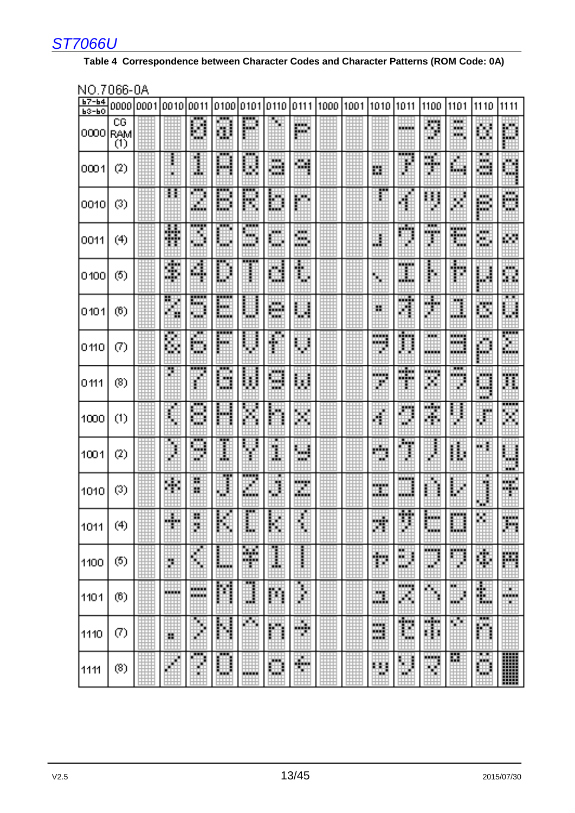#### **Table 4 Correspondence between Character Codes and Character Patterns (ROM Code: 0A)**

| b7-64<br>$b3-b0$ |                               | 000010001100101 |               | 0011                            |                   | 01001010110110  |                                  | 0111                          | 1000 | 1001 | 1010             | 1011                      | 1100                       | 1101                                | 1110                        | 1111                  |
|------------------|-------------------------------|-----------------|---------------|---------------------------------|-------------------|-----------------|----------------------------------|-------------------------------|------|------|------------------|---------------------------|----------------------------|-------------------------------------|-----------------------------|-----------------------|
| 0000             | CG<br>RAM<br>$\overline{(1)}$ |                 |               | 鼺                               | ₩                 | E               | ₩                                | m<br>n an                     |      |      |                  | ▒                         | E.                         | an an<br>alah d<br>التفاعلة         | ▦                           | 鼺                     |
| 0001             | (2)                           |                 |               | Ï                               | <br>鼺             | <b>HHH</b><br>鼺 | <u>ana</u><br><b>WWW.</b><br>555 | TН.<br>۸m                     |      |      | 轟                | <br>W.                    | <b>SER</b><br>HH.<br>÷     | ШŦ<br>h.                            | التفاعل<br>H.<br><b>THE</b> | H                     |
| 0010             | $\left( 3\right)$             |                 | Ħ             | <b>THE</b><br>m                 | <b>BREE</b><br>鼺  | <br>鼺           | Ħ                                | 鼺                             |      |      | ш                |                           | H<br>ĸ                     | 用                                   | E.                          | 團                     |
| 0011             | (4)                           |                 | 雛             | W                               | <b>THEFT</b><br>∰ | I               | ш<br>冊                           | H.<br><u>tari </u><br>an an a |      |      | B                | <u>san </u>               | <br>kisinin a<br>Ħ,        | <u>in in in in </u><br>alian a<br>ш | ₩<br>m                      | 翤                     |
| 0400             | (5)                           |                 | 钄             | 鷴                               | W                 | <br>I           | Ħ                                | 騳                             |      |      | 盟                | <u>in in de</u><br>₩      | Ë                          | Ш.<br>删                             | W                           | 鼺                     |
| 0404             | (6)                           |                 | Ħ             | <br>Œ٣<br>₩                     | E                 | H               | 驠<br>W.                          | 鼺                             |      |      | 鷡                | 55.T.<br>踂                | 晦<br>瞴                     | h a b<br>雦                          | HH.<br>躢                    | <b>BL B</b><br>躙      |
| 0410             | (7)                           |                 | 雛             | E                               | E                 | W.              | ŧ                                | 鼺                             |      |      | HH.<br>----<br>₽ | alan a<br>H               | Webl                       | وأوارين<br>المنفاذ                  | Ħ                           | m<br>躧                |
| 0411             | (8)                           |                 | F             | <br>₩<br>m                      | <br>鼺<br>W.       | 鼺               | <u>isiste</u><br>哪<br>alah s     | 麒                             |      |      | فتفادله<br>Ħ     | <u>anita</u><br>an din ka | <b>Barba</b><br>鼺          | <b>BBB</b><br>an an a<br>Ŧ.         | <b>BREE</b><br>₩<br>H.      | 躐                     |
| 1000             | (1)                           |                 | 畢             | <br>Шf<br>m                     | 鼺                 | 噩               | 圞                                | 鼺                             |      |      | ₩<br>臘           | E                         | 55.<br>嚻                   | F<br>霍                              | ₩                           | <br>н<br>臘            |
| 1001             | (2)                           |                 | Ħ.            | <br>₩<br>щĤ                     | <br>Ŧ             | 翢               | H.                               | 鼺<br>HH T                     |      |      | ₩<br>₩           | <b>TH</b><br>I            | ₩                          | 龖                                   | Ħ<br>×                      | .                     |
| 1010             | (3)                           |                 |               | 22<br>H                         | 事                 | <br>m           | 鸜                                | .<br>瞴                        |      |      | وأباري<br>耶稣     | وفاعانا                   | н                          | 鼺                                   | Ĩ<br>mate                   | 瞴                     |
| 1011             | (4)<br>۰.<br>۰,               |                 | 88<br>والأناف | W.<br>88<br><u>est til</u><br>醖 | 臑<br>Ξ<br>п       | m<br>555        | 屬<br>ш<br>п                      | w<br>m<br>圓                   |      |      | 鼺<br>田<br>圓      | 19191<br>HH.<br>Ē         | 屬<br>                      | an an a<br>                         | m                           | <br>التقاتل<br>п<br>Ħ |
| 1100             | (5)                           | ш               | Ħ             | i.                              | E                 | 鼺<br>HH F       | Ī                                | ᄟ                             | ₩    |      | 韊                | 鼺<br>ш                    | <u>katalog</u><br>w        | ▦                                   | 鼺                           | ₩                     |
| 1101             | (6)                           | E               |               | ,,,,,,<br>alah dari s           | 鬪                 | 饇               | 鼺                                | 鞙                             |      |      | 龖                | litera<br>齫               | 瞴                          | <b>HH</b><br>H<br>                  | 鼺                           | W<br>ш                |
| 1110             | (7)                           | ₩               | ₩<br>Ħ        | E                               | 鬬                 | 睡               | 鼺                                | H                             |      | Τm   | E                | 翻<br>i<br>Ш               | <b>Alba</b><br>I<br>ï<br>B | H.                                  | <b>BEE</b><br>躢             |                       |
| 1111             | (8)                           |                 | ⊕             | <br>H<br>Ы                      | <b>BRE</b><br>₩   | <b>Radiate</b>  | 鼺                                | W                             |      |      | E                | 臘                         | W                          | m                                   | <b>SANT</b><br>鼺            |                       |

#### NO.7066-0A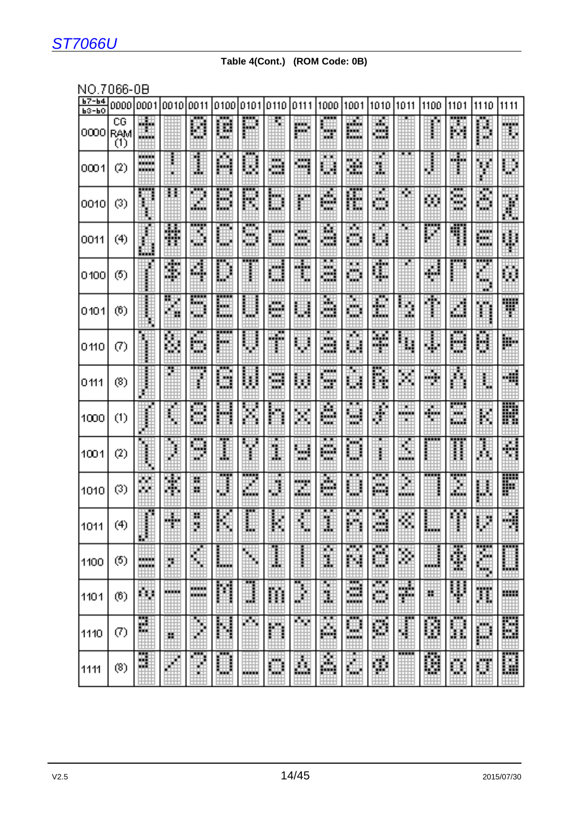### **Table 4(Cont.) (ROM Code: 0B)**

NO.7066-0B

| $b7 - b4$<br><b>ЬЗ-ЬО</b> | 0000                    | 10001                                        | lan 10.        | loo 11                   |                  | 0100101011      | 10110                   | 0111                            | 1000                            | 1001                          | 1010                | 1011                  | 1100     | 1101                                                                                                                                                                                                                           | 1110                                  | 1111         |
|---------------------------|-------------------------|----------------------------------------------|----------------|--------------------------|------------------|-----------------|-------------------------|---------------------------------|---------------------------------|-------------------------------|---------------------|-----------------------|----------|--------------------------------------------------------------------------------------------------------------------------------------------------------------------------------------------------------------------------------|---------------------------------------|--------------|
| 10000                     | $C\bar G$<br>RAM<br>(1) | <b>HELL</b><br><u> 1999 - 19</u><br>والمنابس |                | Ø                        | 臘                | H               |                         | ш<br><b>Basic</b>               | ₩<br>66 H                       | F.                            | W.<br>لأرتبال<br>H. |                       |          | m<br>鼺                                                                                                                                                                                                                         | 繭                                     | ш<br>₩       |
| 0001                      | (2)                     | alahatan<br>alahatan i<br>alah sa            |                | 輩                        | 釂                | <b>BRB</b><br>H | <b>SER</b><br>W.<br>555 | щu<br>الكاتب                    | 鼺                               | 鼺                             | ₩                   |                       | 齫        | والأقادا<br>H                                                                                                                                                                                                                  | W                                     | 鼺            |
| 10010                     | (3)                     |                                              | ш              | Æ<br>鼺                   | <b>BREE</b><br>鼺 | <br>篇           | n y<br>臘                | Ħ                               | 讕<br><b>FERE</b>                | 鼺                             | HH<br>щu<br>щe      | Ħ                     | 圞        | هبر<br>蹦<br>娜                                                                                                                                                                                                                  | m<br>W                                | E            |
| 0011                      | (4)                     |                                              | 驩              | ,,,,,<br>鼺               | E                | m<br>Œ۲         | ta bir<br>alah s        | ш<br><u>wa k</u><br>التقاد<br>₩ | 鼺                               | 臘                             | ₩                   |                       | 躧        | <b>BREE</b><br>龞                                                                                                                                                                                                               | talah p<br>瞴                          | H            |
| 10100                     | (5)                     | 邮                                            | فالبرج<br>鼺    | 龖                        | H                |                 | تسادا<br>₩              | <br>H                           | a Ta<br>灦                       | ×х<br>H                       | Œ                   | ш                     | $\oplus$ | moodiste kordinaalise on valle valle valle valle valle valle valle valle valle valle valle valle valle valle valle valle valle valle valle valle valle valle valle valle valle valle valle valle valle valle valle valle valle | <br>HH.<br>₩                          | 鼺            |
| 10101                     | (6)                     | m<br>ii<br>Ii                                | H              | -----<br>lipp<br>瓕       | <br>E            | 鼺               | m.<br>anat-             | ₩                               | 龗<br>٣H                         | Ë                             | 鼺                   | ∰                     | ŧ        | 鼺                                                                                                                                                                                                                              | 灩                                     | W            |
| l0110                     | (7)                     |                                              | 躝              | Ħ                        | E                | H               | W<br>88                 | 翽                               | 鼺                               | Ŧ<br>臘                        | a.<br>⊞<br>191      | H                     | H        | Ħ                                                                                                                                                                                                                              | 臝                                     | W.           |
| 0111                      | (8)                     | Ħ                                            | П              | <br>m<br>Ħ               | <b>BEE</b><br>W  | Ħ               | متشار<br>- 1<br>HH.     | 躖                               | <b>TELES</b><br>HШ<br>66 M      | Ŧ<br>鼺                        | 躘                   | 鼺                     | п<br>m   | 鹽                                                                                                                                                                                                                              | Ħ                                     | H            |
| 1000                      | (1)                     |                                              |                | نبيب<br>鄦<br>H.          | 圞                | 鼺               | 關                       | 鼺                               | 讕                               | <b>TELESCO</b><br>犣<br>珊      | 矄<br>a.             | 86 B<br>فافاداه<br>ыt | H        | <b>*****</b><br>HH<br>hiid.                                                                                                                                                                                                    | W                                     | W.           |
| 1001                      | (2)                     | ĦЛ                                           | Ħ<br>⊕         | <b>THEFT</b><br>щá<br>Шf | ,,,<br>Ð         | H               | ш<br>Ŧ                  | 鼺<br>H۳                         | <b>FLIP</b><br>鼺                | Ħ<br>H.                       | Ŧ                   | M<br>alah da          | 噩        | ,,,,,<br>Ħ                                                                                                                                                                                                                     | <b>BBI</b><br>躪                       | E            |
| 1010                      | $\odot$                 | m<br>m                                       | 脚踏<br>躝        | 雦<br>H                   | <br>∯'           | <br>m<br>睡      | B                       | m                               | 覊<br>an an                      | ₩                             | 冊<br>٣W             | 關                     |          | W<br>開始                                                                                                                                                                                                                        | $\hat{\mathbf{\phi}}$                 | W            |
| 1011                      | (4)<br>ъ.<br>- 1        | Ē<br>Ë                                       | W              | 鸜<br>u it<br>H           | 罵<br>п<br>п      | H<br>,,,        | ш<br>ш<br>п             | W<br>Ë                          | <b>BLUE</b><br>等于<br><b>BBB</b> | 粟<br>HН<br>胿<br>F             | 矄<br>HH.<br>        | 罵                     |          | 篇<br>п                                                                                                                                                                                                                         | 躧<br>æ                                | 鼺            |
| 1100                      | (5)                     | ,,,,,,<br>alahatan i                         | H              | ∰                        | 鼺                | W               | Ï                       | E<br>Ħ                          | m<br>躘                          | H<br>麛                        | W<br>事              | M                     | m        | 鼺<br>H.<br>,,,,,,                                                                                                                                                                                                              | ,,,,,<br>H<br><b>Tariff</b><br>,,,,,, | E<br>التنافذ |
| 1101                      | (6)                     | 輷                                            | .              | <b>FREE</b><br>bishin a  | 黼                | H<br>н.         | m                       | Ħ<br>н                          | н<br>贚                          | <b>DOM</b><br>璑<br>hini da ba | 瞴<br>œ              | 鱲                     | ×        | 臘                                                                                                                                                                                                                              | 驜                                     | 開催<br>m      |
| 1110                      | (7)                     | 麗                                            | <b>uu</b><br>雔 | E                        | 圞                | ŦН              | 鼺                       | HH.<br>ŧ                        | <b>BELLE</b><br>龖               | ∰                             | 礪                   | 鼺                     | 師事<br>饠  | 医鼻腔<br>i<br>ħ<br>Ħ                                                                                                                                                                                                             | --<br>p                               | 臘<br>₩       |
| 1111                      | (3)                     | m<br>W.<br>ы£                                | m              | <b>BEE</b><br>聥<br>ыH    | M<br><b>FILE</b> | HH.<br>an an a  | 蝙蝠<br><b>REE</b>        | E                               | 羉                               | E                             | 鼺                   |                       | 鼺        | 羉                                                                                                                                                                                                                              | H.                                    | E            |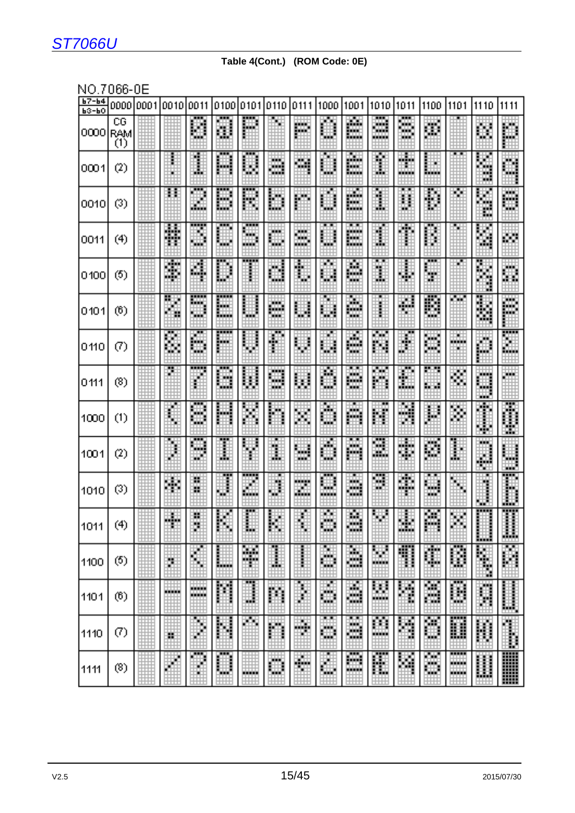#### **Table 4(Cont.) (ROM Code: 0E)**

NO 7066-0E

| .                    | பபப                          | u |                              |                       |                        |                                    |                       |                  |              |                                            |                                 |               |                          |                   |                                       |                      |
|----------------------|------------------------------|---|------------------------------|-----------------------|------------------------|------------------------------------|-----------------------|------------------|--------------|--------------------------------------------|---------------------------------|---------------|--------------------------|-------------------|---------------------------------------|----------------------|
| $b7 - b4$<br>$b3-b0$ | 000010001                    |   | 1001010011101001010110110    |                       |                        |                                    |                       | 1011111000       |              |                                            | 11001 11010 11011               |               | 1100                     | 11101             | 1110                                  | 1111                 |
| 0000                 | CG<br><b>RAM</b><br>$\alpha$ |   |                              | H                     | 鞩                      | 鼺                                  |                       | 酈                | 罰            | 灦<br>ila birli                             | .<br>التفاعل<br>m<br>bishinin i | 躢             | 灦<br>н                   |                   | 躢                                     | 臘                    |
| 0001                 | (2)                          |   |                              | H<br>Ŧ                | m<br>睡                 | E                                  | HH.<br>66 B S<br>a da | W                | 鹽<br>filip   | 讍<br>in an<br>in an                        | Ð                               | W.<br>alah sa | E                        | <b>BL B</b>       | Ħ<br>HШ<br>ш                          | 灩                    |
| 0010                 | (3)                          |   | Ħ                            | 靊<br>H.               | æ<br>₩                 | W                                  | II.                   | 臘                | 罵<br>∯.      | W<br>臘                                     | W<br>H                          | H             | 鵬                        | m                 | E                                     | الأفادا<br>₩         |
| 0011                 | (4)                          |   | 靐<br>m                       | <br>H                 | <b>TELE</b><br>m       | $\overline{\phantom{a}}$<br>m<br>m | <b>TELE</b><br>睴      | W<br>W.<br>an an | 鼺            | m<br><u>anana</u><br>8. WH<br>ila birli    | Ŧ                               | нT            | <b>TELETIN</b><br>H<br>Ħ |                   | 躢                                     | 聨                    |
| 0400                 | (5)                          |   | H.<br>酃                      | 躧                     | H                      |                                    | ŦŦ<br>鼺               | E                | ŦŦ<br>酈      | 讘<br>ta kale                               | <b>FLIP</b><br>最佳<br>₩          | ₩             | <b>TELE</b><br>m<br>W.   |                   | E                                     | <b>TELE</b><br>躢     |
| 0101                 | (6)                          |   | H                            | HH<br>m               | <b>The S</b><br>m<br>聯 | E                                  | 98<br>珊<br>ĦН         | 鼺                | m            | 灦<br>He for                                |                                 | W<br>w        | 鼺                        | HH H              | W<br>nin n                            | الأفات<br>H.<br>醞    |
| 0410                 | (7)                          |   | m<br>躘                       | 頭<br>艜                | <br>臘                  | 鼺                                  | W.<br>靊               | 臘                | w<br>鼺       | 灩<br>التفاعل                               | 間間<br>鼺                         | ШĖ<br>Ш       | 鼺                        | an an a<br>нu     | Ħ                                     | <br>躐                |
| 0411                 | (8)                          |   | <b>TELE</b>                  | <br>H                 | فبنين<br>₩             | 鼺                                  | H.<br>W<br>wa K       | 鼺                | 龖            | <b>A</b><br><u>saat</u><br>بيتا<br>ta kale | Ŧ<br>m                          | 鼺             | m m<br><b>STAR</b>       | 噩                 | <b>COLLE</b><br><b>THE</b><br>鼺<br>H. | fairs.               |
| 1000                 | (1)                          |   | H                            | <br>鼺                 | 膷                      | 讕                                  | 贎                     | ▒                | Ħ            | ш<br>躢                                     | Ħ                               | M             | 闗                        | 臘                 | E                                     | 翿<br>₩<br>HH.        |
| 1001                 | (2)                          |   | Ŧ<br>B                       | <b>BBB</b><br>₩.<br>m | <b>HHH</b><br>鷫        | 關                                  | <b>THE</b><br>齰       | M                | 鹽            | <b>HTM</b><br>躢                            | <b>THE</b><br>鹽                 | 瀟             | 繭                        | <b>. .</b> .<br>H | a an<br>H<br>ĦН                       | a a s<br><b>FREE</b> |
| 1010                 | (3)                          |   | 聑                            | m<br>W                | m<br>H                 | <br>M                              | W                     | Ħ<br>灩           | 鼺<br>an an a | H<br>讕<br>بيتا                             | <b>BBB</b><br>M                 | 璑             | <b>Kill</b><br>驒<br>W.   | ₩                 | W                                     | .<br>Ħ               |
| 1011                 | (4)                          | E | m                            | 罪<br>WН<br>m          | 齫<br>m                 | ■■■<br>ŦН                          | 照<br>HH.              | ₩<br>œ<br>₩      | 镾<br>منعد    | 爴<br>الأفادا                               | 罵<br>₩                          | m             | 譕<br>⊞<br>H              | 翢                 | ,,,,,<br>圝                            | <br>鼺<br>.           |
| 1100                 | (5)                          |   | Ë                            | ×<br>鶽                | H<br>ilian a           | 麗<br>asias.<br>ũН                  | <b>THE</b><br>Ï       | I.               | 躢            | П<br>鸘                                     | 鼺                               | 鼺             | Æ                        | <b>THE R</b><br>鼺 | I                                     | E                    |
| 1101                 | (6)                          |   | <b></b><br><b>BREEK</b><br>₩ | m.<br>bishirin i<br>  | H                      | Ħ                                  | 蠠                     | H<br>₩           | I            | W<br><u>tituli</u>                         | H                               | E             | Ħ                        | <br>鼺             | Ħ<br>التنت                            | W)                   |
| 1110                 | $\left( 7\right)$            |   | Ħ                            | Ħ<br>₽                | 鬬                      | H.                                 | 購                     | I                | a ma<br>W    | <b>ALC</b><br>₩                            | 賱<br>bishirin i<br><b>TEL</b>   | H             | 钄<br>W.                  | ,,,,,<br>▦        | ₩<br><b>COLOR</b>                     | a a shekara          |
| 1111                 | (8)                          |   |                              | <b>BEE</b><br>н       | <b>THE</b><br>ki kini  | H.<br><u>anisisis</u>              | ш<br><b>TELE</b><br>W | H                | шT<br>H      | <b>BEE</b><br>₩                            | 疆                               | 鼺             | a sa n<br>躢              | <br>.<br>         | E<br>丗                                | W                    |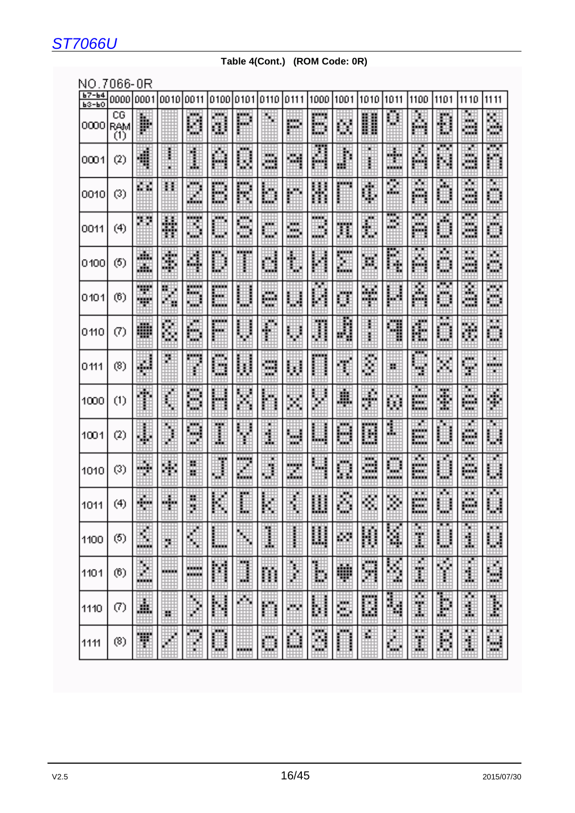#### **Table 4(Cont.) (ROM Code: 0R)**

### NO.7066-0R

| $\frac{67-64}{63-60}$                                                                                                               |                                              |                                    | 0000 0001 0010 0011 0100 0101 0110 0111 1000 1001 1010 1011 1100 |                            |                   |                              |                   |                    |                                        |                  |                                           |                               |                                          | 1101                      | $11110$ $11111$                            |                    |
|-------------------------------------------------------------------------------------------------------------------------------------|----------------------------------------------|------------------------------------|------------------------------------------------------------------|----------------------------|-------------------|------------------------------|-------------------|--------------------|----------------------------------------|------------------|-------------------------------------------|-------------------------------|------------------------------------------|---------------------------|--------------------------------------------|--------------------|
| $\left  \begin{smallmatrix} 0 0 0 0 \ 0 1 \end{smallmatrix} \right $ $\left  \begin{smallmatrix} 0 1 \ 1 \end{smallmatrix} \right $ | $\overline{\overline{\mathbf{G}}\mathbf{G}}$ | E.                                 |                                                                  | المنادر<br>鼺               | m.<br>H           | HT.<br>88<br>睡睡              | ₩                 | iii.               | والماداة<br><b>A</b><br>$\blacksquare$ | E                | H                                         | Ħ                             | 鼺                                        | W                         | 珊<br>فينباط<br>He B                        | 麗                  |
| 0001                                                                                                                                | (2)                                          | W.<br>H                            |                                                                  | H                          | W                 | ۱                            | W<br>ttiti        | 璑                  |                                        | m                | ×<br>Ŧ                                    | Ш.                            | M                                        |                           | 師<br>فادا                                  | 睡                  |
| 0010                                                                                                                                | (3)                                          | 瞴                                  | Ħ                                                                | ta bi<br>曪<br><b>title</b> | E                 | الأفادا<br>哪                 | Ħ<br>----         | 臘                  | H                                      | MARKA            | 38<br>m                                   | H                             | 骊<br>ha B<br><b>Barbara</b>              | E                         | u.<br>in in d<br>hini di<br>الناداة<br>--- | tini d             |
| 0011                                                                                                                                | (4)                                          | 畘                                  | 飝                                                                | <br>鼺                      | E                 | <b>Service</b><br>賱<br>HH.   | W                 | 臘<br>المناداة      |                                        | 龖                | 韊                                         | <b>BEEL</b><br>B              | <b>THE R</b><br>M.<br>h a s              | W.<br>m                   | <b>THE R</b><br>talet i<br>تسادا<br>45     | 璑<br>щ             |
| 0100                                                                                                                                | (5)                                          | W.<br>m.                           | talian.<br>鼺                                                     | 瞱<br>臨                     | E<br>₩            | 第1                           | W                 | E                  | H                                      | <br>鼺<br>HH H    | H                                         | 躘                             | <b>BUT BUT</b><br>鼺                      | ₩<br>m                    | W.<br>躢<br>HH.                             | W<br>فالماط<br>W   |
| 0101                                                                                                                                | (6)                                          | tian.<br>Tagairtí<br>TШ<br>an an a | E                                                                | <b>.</b><br>in,            | m                 | a da                         | 鼺<br>التفاد       | 鼺                  | <b>BLUE</b>                            | 鼺                | 里<br>h fini                               | ₩                             | W<br>الأزين                              | 曪                         | Ħ<br>نبيتا                                 | m<br>ш             |
| 0410                                                                                                                                | (7)                                          | 蹦<br>■■■                           | H                                                                | 劚<br>w<br>تتنت             | E                 | ▦                            | W                 | 圍                  | H                                      | N                | Ħ<br>W                                    | u ve<br>                      | ŧ<br><b>TELEVISION</b>                   | Ħ<br>₩                    | 躐                                          | الألبان<br>地址<br>m |
| 0111                                                                                                                                | (8)                                          | ш                                  | w<br>Ŧ.                                                          | a a sheka                  | talah<br>щ        |                              | 蹦<br>w            | 驒                  | a a sala                               | 臘                | W                                         | ₽                             | <u>i se se</u><br>₩<br>w                 | m                         | W                                          | 瞴<br>m             |
| 1000                                                                                                                                | (1)                                          |                                    | ы<br>Ħ                                                           | ka ka<br>嘛                 | 鼺                 | 躢                            | E                 | 囲                  |                                        | 鼺                | H<br>pin,                                 | ₩<br>囲                        | W<br><u>in alt</u><br>isan.              | W.<br>曪<br>W.             | h a b<br>Ш.<br>Webl                        | 躘                  |
| 1001                                                                                                                                | (2)                                          | B                                  | шt<br>H<br>m                                                     | <b>BRE</b><br>m            | <b>BAC</b><br>轟   | HЩ                           | m<br>₩            | والماداة<br>hindi. |                                        | <b>BACK</b><br>鼺 | <u>an an a</u><br>m                       | ш<br>H                        | HH.<br>an an a<br>ber 19<br>in din       | Ŧ.                        | m<br>W.<br>睡                               |                    |
| 1010                                                                                                                                | (3)                                          | ▒                                  | 驆                                                                | Ħ<br>÷.                    | ∰<br><b>BERTH</b> | <u>mana</u><br>岫<br>Ш.<br>┯╈ | HH.<br>龖          | <br>ŦĤ<br>ritore.  | 哪                                      | 鼺                | <b>BAC</b><br>تسادا<br>- 4<br><u>mana</u> | tin 1<br>m<br>ajajain la<br>m | W<br>an an a<br>ber 1<br>ininin<br>تتفتت | н                         | <b>FREE</b><br>والماماة<br>a da            |                    |
| 1011                                                                                                                                | (4)                                          | ij<br>H.                           | m.,<br>m                                                         | H.<br>F                    | 龖                 | ▒                            | 龖                 | Ħ                  | 臘                                      | 鸜                | 圞                                         | W                             | 鼺<br>النظاة<br>han a                     | ш                         | <b>MARK</b><br>agar.<br>a a sh             | n in<br>H          |
| 1100                                                                                                                                | (5)                                          | ш<br>龖<br>تنتنت                    | 鷀                                                                | ш<br>龖<br>╦                | H<br>فتنتفت       | 鼺                            | ▒<br>***          | H                  | 臘<br>₩                                 | 鼺                | 臘                                         | 鼺<br>Ħ.                       | ш<br>Ŧ<br>шш                             | m<br>فتنتفث               | п<br>Œ<br>فتنتفذ                           | E                  |
| 1101                                                                                                                                | (6)                                          | I<br>,,,,,,                        | H                                                                | <b>Second</b><br>-----     | M                 | a da<br>H                    | 98.<br>鼺          | H<br>畫             | E<br>m                                 | an<br>199        | E                                         | W                             | Ť                                        | 龖                         | E<br>m.                                    | W<br>W.<br>₩       |
| 1110                                                                                                                                | $\left( 7\right)$                            | E                                  | Ħ                                                                | W<br>m                     | E<br>,,,,,,       | W.                           | W<br><b>*****</b> | E                  | I<br>龘<br>فتنتفث                       | ₩<br>m<br>فتنتظ  | E<br>.                                    | an<br>Sil<br>₩                | Đ<br>تنتنت                               | ∰.<br><u>Middl</u><br>888 | Ŧ<br>Ľ<br>فتفات                            | W<br>فتنت          |
| 1111                                                                                                                                | (8)                                          | W                                  | E                                                                | E                          | I                 | E                            | W                 | 臘                  | 厲<br>m                                 | W                | 霩                                         | ы<br>H                        | m                                        | W                         | W.<br>Đ                                    | E<br>Ħ             |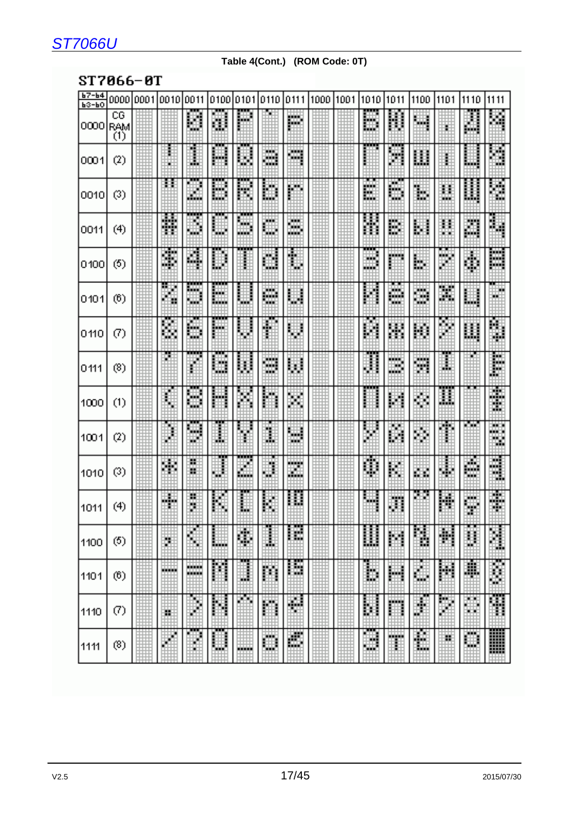#### **Table 4(Cont.) (ROM Code: 0T)**

### ST7066-0T

| $167 - 64$<br>$b3-b0$ |                   | 0000 0001 0010 0011 |                      |                   |          |                               |               | 0100 0101 0110 0111 000 01001 010 |                   | 11011                               | 1100   | 11101   | 11110            | 1111                     |
|-----------------------|-------------------|---------------------|----------------------|-------------------|----------|-------------------------------|---------------|-----------------------------------|-------------------|-------------------------------------|--------|---------|------------------|--------------------------|
| loooo                 | CG<br>RAM<br>ĨĎ   |                     | ₱<br>蠟               | 讕                 | ĦН       |                               | M             |                                   | 脚<br>哪            | 躢                                   | 屬      | ₩Ĥ      | ▦                |                          |
| 10001                 | (2)               |                     | m                    | نسب<br>團          | خبج<br>鬬 | ₩<br>▦                        | H             |                                   | .                 | . .<br>H                            | 鬮      | Ħ       | ▦                |                          |
| loo1o                 | (3)               |                     | أنازلي<br>H          | <b>TILLE</b><br>鼺 | mm<br>鼺  | ▦                             | H             |                                   | 躘<br><b>Basic</b> | E                                   | 鼺      | 雦<br>W. | 鼺                | H                        |
| 10011                 | (4)               | 明朝<br>翢             | m                    | .<br>鼺            | 儚<br>▦   | HAH.<br>圝                     | ₩             |                                   |                   | ₩                                   | 鸜      | ▦       | 讕                | 鼺                        |
| 10400                 | (5)               | til se<br>嚻         | H                    | 矘                 | H        | H                             | H             |                                   | m<br>ш<br>m       | m                                   | 鼺      | m       | 讕                | الزواري<br>تبتيا         |
| 10404                 | (6)               | 鬮<br>Ħ              | mm<br>ila ala<br>W   | mm<br>鼺           | 鼺        | <b>THE</b><br>تنتز<br>mark 19 | H             |                                   |                   | <b>ATT</b><br>talah p<br>١W<br>mar. | H      | 躢       | 鼺                | W                        |
| lo 110                | (7)               | 豳                   | 鷴<br>ĦШ              | H                 | 用        | 囁                             | 睓             |                                   | 躢                 | 賱                                   | 鬬      | H       | 鼺                | 鱲                        |
| lo 111                | (8)               |                     | mm<br>Ħ              | 鼺                 |          | ₩                             | 鼺             |                                   | m                 | 2000)<br>W                          | 鬬      | ₩       |                  | B                        |
| 1000                  | (1)               | 鸅                   | H                    | 鼺                 | ы,<br>H  | ₩<br>i<br>H                   | 躤             |                                   | mm                | 鬪                                   | 酈      | 龖       |                  | 潇<br>W                   |
| 1001                  | (2)               | 蕭                   | m<br>矙<br>ш          | H                 | ₩        | шH<br>Ш                       | 罵<br>talah p  |                                   | 鹽                 | H                                   | 鬬      | 騼       | H٣               | Matuka I<br>and the<br>₩ |
| 1010                  | (3)               |                     | 鱡<br>m               | .<br>鼺            | 灩        | ▦                             | 龖             |                                   | 闠                 | 矘                                   | 鼺      | 讕       | Ŧ<br>驑           | ∰                        |
| 1011                  | (4)               | ШĦ<br>88 B          | Ħ<br>▒               | H                 | m<br>雦   | 鼺                             | m r<br>照      |                                   | 雛                 | 灦                                   | m      | H       | 躤<br>翢<br>m      | HH.<br>83 H              |
| 1100                  | (5)               | 躤                   | H                    | 臘                 | 躝        | ш<br>轟                        | . .<br>m<br>H | ▒                                 | 鼺                 | 鬬                                   | 鷴<br>Ŧ | 鞩       | Ħ                | H                        |
| 1101                  | (6)               | H                   | W<br><b>Malaysia</b> | 鬮                 | m<br>矋   | B                             | m<br>m<br>ı   | ▒                                 | \$                | 矘                                   | 隱      | 鬬       | L                | E                        |
| 1110                  | $\left( 7\right)$ | H                   | 用                    | 鬬                 | Ħ        | 闢                             | 臘             | ₩                                 | Ħ<br>1            | ∰                                   | m<br>E | H       | <b>MARK</b><br>雦 | W                        |
| 1111                  | (3)               | W                   | m<br>E)              | 臘                 |          | W<br>W.                       | 躢             |                                   | ▦                 | 躐                                   | H      | H,      | ₩                | W)                       |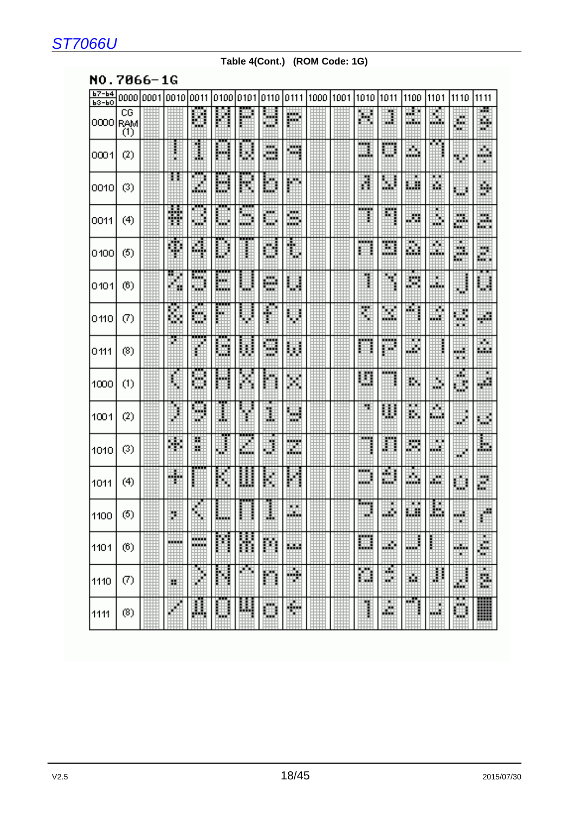### **Table 4(Cont.) (ROM Code: 1G)**

#### NO.7066-1G

| $b7 - b4$ | 0000           | 0001 | 0010   | 0011      | 0100           | 0101      | 0110            | 0111     | 1000 | 1001 | 1010       | 1011        | 1100     | 1101       | 1110      | 1111               |
|-----------|----------------|------|--------|-----------|----------------|-----------|-----------------|----------|------|------|------------|-------------|----------|------------|-----------|--------------------|
| $b3-b0$   |                |      |        |           |                |           |                 |          |      |      |            |             |          |            |           |                    |
| 0000      | CG<br>RAM<br>Õ |      |        | Ψ         |                | w.        | ж<br>- -        | ш        |      |      | Ħ          | U           | 顯<br>- - | H          | 鞹<br>ж    | ш.<br>H.           |
| 0001      | (2)            |      |        | İ         | ш              | Ħ         | M               | ш        |      |      | ang.<br>W. | ومجوز<br>ш. | Ш        |            | diy.      | 翢<br>×             |
| 0010      | (3)            |      | ÷.     | I.<br>.   | Ш              | U,        | m               |          |      |      | B          | ă           | щ        | N.         | ж         | H                  |
| 0011      | (4)            |      | H      | w.        | w.             | ш<br>an a | <b>SOF</b><br>ш | ₩<br>. . |      |      | . .<br>B   | ш           | ш        | Ы<br>man d | ш<br>ш    | H                  |
| 0100      | (5)            |      | ī      | 4         | U              |           | H               | 1        |      |      |            | H.          | 鬬        | ш<br>---   | #         | M                  |
| 0101      | (6)            |      | H      | 500<br>ш. | bu i<br>maa ka |           | 膷<br>minist     | 瞓        |      |      |            | ж           | 覹        |            | q         | H                  |
| 0110      | Ø)             |      | H.     | H         | ж              | u.        | H               | j        |      |      | ÿ.         | H.          | a.       | ш<br>ш     | ₩<br>ш    | gill.              |
| 0111      | (8)            |      | Ø      |           | п<br>ш         | J)        | .<br>щ<br>- 3   | W        |      |      | gain)      | .<br>m      | 98       |            | ш<br>œ    | m<br>ш             |
| 1000      | (1)            |      | B<br>u | am.       |                |           |                 | ж        |      |      | Ш          | .           | ш.       | ٩<br>an a  | Ë         | 瞓                  |
| 1001      | (2)            |      |        | a.<br>۰   | I.             |           | I               | ш<br>m   |      |      | ж          | U           | ш.       | ш<br>hidi. | ш         | 翢                  |
| 1010      | (3)            |      | M      | Ж<br>ш    | ₫              | Ш         | l               | E.       |      |      | HH 6       | H           | m        | ш<br>фÖ    | фÞ        | 脚                  |
| 1011      | (4)            |      | ш      |           | ь              | ł         | E<br>R<br>÷,    | Į<br>Ь   |      |      | mm.<br>щÞ  | M.<br>ш     | Ш        | 臘          | 翢         | 4                  |
| 1100      | (5)            |      | ö      |           |                |           |                 | ×х<br>m. |      |      | Rock)      | 臌           | щ        | H          | - 1       | $\hat{\mathbb{P}}$ |
| 1101      | (6)            |      | 10000  | ,,,,,     |                | 鬮         | Ш               | 13.0     |      |      | ▦          | 翢           | . .      | İ          | an a<br>× | W                  |
| 1110      | Ø)             |      | 謴      | ł         | 闗              | m         | H               | ۰        |      |      | H          | w.<br>ш     | ø.       | Ħ          | ₽         | ×<br>H.            |
| 1111      | (8)            |      |        | 嚞         | J              | 闄         | 臘               | H        |      |      | ļ          | 臘           | Ĭ        | ▦          | ▦         | ▉                  |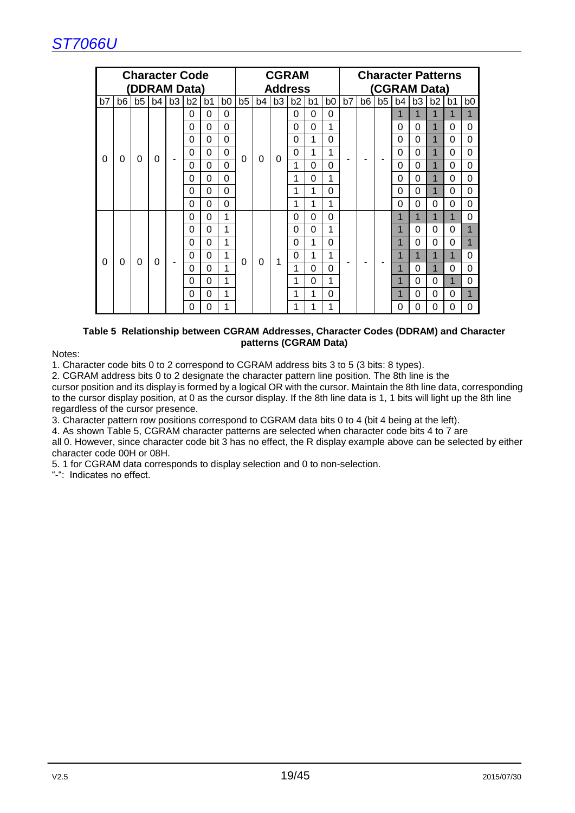

|    |    |                |    |                | <b>Character Code</b> |                |                |                |          |                | <b>CGRAM</b>   |    |                |    |                |    |          | <b>Character Patterns</b> |                |                |                |
|----|----|----------------|----|----------------|-----------------------|----------------|----------------|----------------|----------|----------------|----------------|----|----------------|----|----------------|----|----------|---------------------------|----------------|----------------|----------------|
|    |    |                |    |                | (DDRAM Data)          |                |                |                |          |                | <b>Address</b> |    |                |    |                |    |          | (CGRAM Data)              |                |                |                |
| b7 | b6 | b <sub>5</sub> | b4 | b <sub>3</sub> | b2                    | b <sub>1</sub> | b <sub>0</sub> | b <sub>5</sub> | b4       | b <sub>3</sub> | b <sub>2</sub> | b1 | b <sub>0</sub> | b7 | b <sub>6</sub> | b5 | b4       | b <sub>3</sub>            | b2             | b <sub>1</sub> | b <sub>0</sub> |
|    |    |                |    |                | $\Omega$              | $\Omega$       | 0              |                |          |                | 0              | 0  | $\Omega$       |    |                |    | 1        | 1                         | 1              | 1              | 1              |
|    |    |                |    |                | 0                     | $\Omega$       | 0              |                |          |                | 0              | 0  | 1              |    |                |    | 0        | 0                         | 1              | 0              | 0              |
|    |    |                |    |                | $\Omega$              | $\Omega$       | 0              |                |          |                | 0              | 1  | $\Omega$       |    |                |    | $\Omega$ | $\Omega$                  | $\mathbf{1}$   | 0              | $\Omega$       |
| 0  | 0  | 0              | 0  |                | $\Omega$              | $\Omega$       | 0              | 0              | $\Omega$ | 0              | $\Omega$       | 1  | 1              |    |                |    | $\Omega$ | $\Omega$                  | $\mathbf{1}$   | 0              | 0              |
|    |    |                |    |                | $\Omega$              | $\Omega$       | $\Omega$       |                |          |                | 1              | 0  | 0              |    |                |    | $\Omega$ | $\Omega$                  | $\mathbf{1}$   | 0              | 0              |
|    |    |                |    |                | $\Omega$              | $\Omega$       | 0              |                |          |                | 1              | 0  | 1              |    |                |    | $\Omega$ | $\mathbf 0$               | $\mathbf{1}$   | 0              | 0              |
|    |    |                |    |                | $\Omega$              | $\Omega$       | 0              |                |          |                | 1              | 1  | $\overline{0}$ |    |                |    | $\Omega$ | $\Omega$                  | $\overline{1}$ | 0              | $\Omega$       |
|    |    |                |    |                | 0                     | $\Omega$       | 0              |                |          |                | 1              | 1  | 1              |    |                |    | $\Omega$ | 0                         | 0              | 0              | 0              |
|    |    |                |    |                | 0                     | $\Omega$       | 1              |                |          |                | 0              | 0  | $\Omega$       |    |                |    | 1        | $\mathbf 1$               | $\mathbf{1}$   | 1              | $\Omega$       |
|    |    |                |    |                | $\Omega$              | $\Omega$       | 1              |                |          |                | 0              | 0  | 1              |    |                |    | 1        | 0                         | 0              | 0              |                |
|    |    |                |    |                | $\Omega$              | $\Omega$       | 1              |                |          |                | $\Omega$       | 1  | 0              |    |                |    | 1        | 0                         | 0              | 0              |                |
|    |    |                |    |                | 0                     | 0              | 1              |                | $\Omega$ |                | 0              | 1  | 1              |    |                |    | 1        | $\overline{1}$            | 1              | 1              | 0              |
| 0  | 0  | 0              | 0  |                | $\Omega$              | $\Omega$       | 1              | 0              |          | 1              | 1              | 0  | $\Omega$       |    |                |    | 1        | 0                         | 1              | 0              | 0              |
|    |    |                |    |                | 0                     | $\Omega$       | 1              |                |          |                | 1              | 0  | 1              |    |                |    | 1        | 0                         | 0              | 1              | $\Omega$       |
|    |    |                |    |                | $\Omega$              | $\Omega$       | 1              |                |          |                | 1              | 1  | $\Omega$       |    |                |    | 1        | 0                         | 0              | $\Omega$       | 1              |
|    |    |                |    |                | 0                     | 0              | 1              |                |          |                | 1              | 1  | 1              |    |                |    | 0        | 0                         | 0              | 0              | 0              |

#### **Table 5 Relationship between CGRAM Addresses, Character Codes (DDRAM) and Character patterns (CGRAM Data)**

Notes:

1. Character code bits 0 to 2 correspond to CGRAM address bits 3 to 5 (3 bits: 8 types).

2. CGRAM address bits 0 to 2 designate the character pattern line position. The 8th line is the cursor position and its display is formed by a logical OR with the cursor. Maintain the 8th line data, corresponding to the cursor display position, at 0 as the cursor display. If the 8th line data is 1, 1 bits will light up the 8th line regardless of the cursor presence.

3. Character pattern row positions correspond to CGRAM data bits 0 to 4 (bit 4 being at the left).

4. As shown Table 5, CGRAM character patterns are selected when character code bits 4 to 7 are all 0. However, since character code bit 3 has no effect, the R display example above can be selected by either character code 00H or 08H.

5. 1 for CGRAM data corresponds to display selection and 0 to non-selection.

"-": Indicates no effect.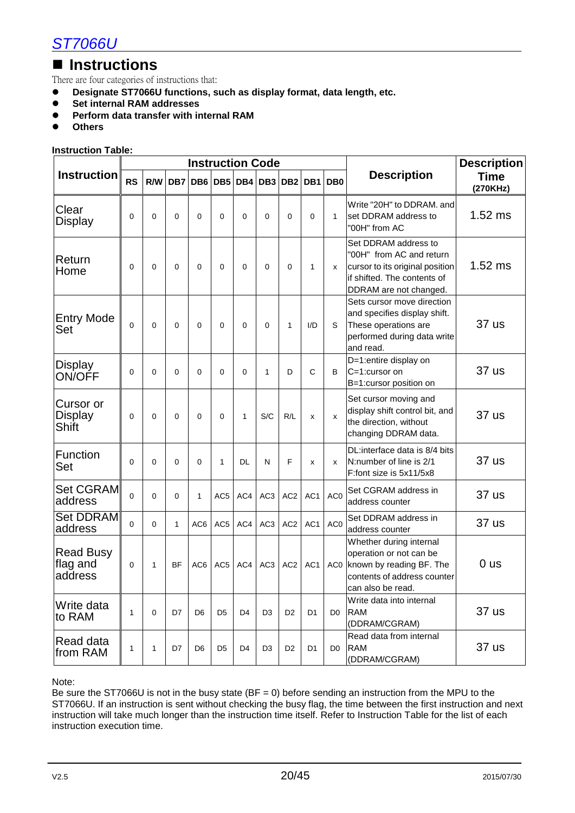### ■ Instructions

There are four categories of instructions that:

- Designate ST7066U functions, such as display format, data length, etc.<br>● Set internal RAM addresses
- **Set internal RAM addresses**<br>**•** Perform data transfer with in
- **•** Perform data transfer with internal RAM<br>• Others
- **Others**

#### **Instruction Table:**

|                                         |                |              |                |                |                 |                | <b>Instruction Code</b> |                 |                 |                 |                                                                                                                                              | <b>Description</b>      |
|-----------------------------------------|----------------|--------------|----------------|----------------|-----------------|----------------|-------------------------|-----------------|-----------------|-----------------|----------------------------------------------------------------------------------------------------------------------------------------------|-------------------------|
| <b>Instruction</b>                      | <b>RS</b>      | R/W          |                | DB7 DB6        |                 | DB5 DB4        |                         | DB3 DB2         | DB <sub>1</sub> | DB <sub>0</sub> | <b>Description</b>                                                                                                                           | <b>Time</b><br>(270KHz) |
| Clear<br>Display                        | 0              | $\mathbf{0}$ | 0              | $\Omega$       | $\mathbf{0}$    | 0              | $\Omega$                | $\mathbf{0}$    | 0               | 1               | Write "20H" to DDRAM. and<br>set DDRAM address to<br>"00H" from AC                                                                           | $1.52$ ms               |
| Return<br>Home                          | 0              | $\Omega$     | $\overline{0}$ | $\Omega$       | $\Omega$        | 0              | 0                       | $\overline{0}$  | $\mathbf{1}$    | x               | Set DDRAM address to<br>"00H" from AC and return<br>cursor to its original position<br>if shifted. The contents of<br>DDRAM are not changed. | $1.52$ ms               |
| <b>Entry Mode</b><br>Set                | $\overline{0}$ | $\mathbf{0}$ | $\Omega$       | $\Omega$       | $\Omega$        | 0              | $\Omega$                | 1               | I/D             | S               | Sets cursor move direction<br>and specifies display shift.<br>These operations are<br>performed during data write<br>and read.               | 37 us                   |
| <b>Display</b><br>ON/OFF                | $\Omega$       | $\Omega$     | $\Omega$       | $\Omega$       | $\Omega$        | $\Omega$       | $\mathbf{1}$            | D               | $\mathsf{C}$    | B               | D=1:entire display on<br>C=1:cursor on<br>B=1:cursor position on                                                                             | 37 us                   |
| Cursor or<br><b>Display</b><br>Shift    | 0              | $\mathbf{0}$ | $\Omega$       | $\Omega$       | $\Omega$        | 1              | S/C                     | R/L             | X               | X               | Set cursor moving and<br>display shift control bit, and<br>the direction, without<br>changing DDRAM data.                                    | 37 us                   |
| Function<br>Set                         | 0              | $\Omega$     | $\Omega$       | $\Omega$       | 1               | DL             | N                       | F               | x               | x               | DL:interface data is 8/4 bits<br>N:number of line is 2/1<br>F:font size is 5x11/5x8                                                          | 37 us                   |
| <b>Set CGRAM</b><br>address             | 0              | 0            | $\Omega$       | 1              | AC <sub>5</sub> | AC4            | AC <sub>3</sub>         | AC <sub>2</sub> | AC <sub>1</sub> | AC <sub>0</sub> | Set CGRAM address in<br>address counter                                                                                                      | 37 us                   |
| <b>Set DDRAM</b><br>address             | $\Omega$       | $\Omega$     | $\mathbf{1}$   | AC6            | AC <sub>5</sub> | AC4            | AC <sub>3</sub>         | AC <sub>2</sub> | AC <sub>1</sub> | AC <sub>0</sub> | Set DDRAM address in<br>address counter                                                                                                      | 37 us                   |
| <b>Read Busy</b><br>flag and<br>address | 0              | 1            | <b>BF</b>      | AC6            | AC <sub>5</sub> | AC4            | AC <sub>3</sub>         | AC <sub>2</sub> | AC <sub>1</sub> | AC <sub>0</sub> | Whether during internal<br>operation or not can be<br>known by reading BF. The<br>contents of address counter<br>can also be read.           | 0 <sub>us</sub>         |
| Write data<br>to RAM                    | $\mathbf{1}$   | 0            | D7             | D <sub>6</sub> | D <sub>5</sub>  | D <sub>4</sub> | D <sub>3</sub>          | D <sub>2</sub>  | D <sub>1</sub>  | D <sub>0</sub>  | Write data into internal<br><b>RAM</b><br>(DDRAM/CGRAM)                                                                                      | 37 us                   |
| Read data<br>from RAM                   | 1              | 1            | D7             | D <sub>6</sub> | D <sub>5</sub>  | D <sub>4</sub> | D <sub>3</sub>          | D <sub>2</sub>  | D1              | D0              | Read data from internal<br><b>RAM</b><br>(DDRAM/CGRAM)                                                                                       | 37 us                   |

Note:

Be sure the ST7066U is not in the busy state ( $BF = 0$ ) before sending an instruction from the MPU to the ST7066U. If an instruction is sent without checking the busy flag, the time between the first instruction and next instruction will take much longer than the instruction time itself. Refer to Instruction Table for the list of each instruction execution time.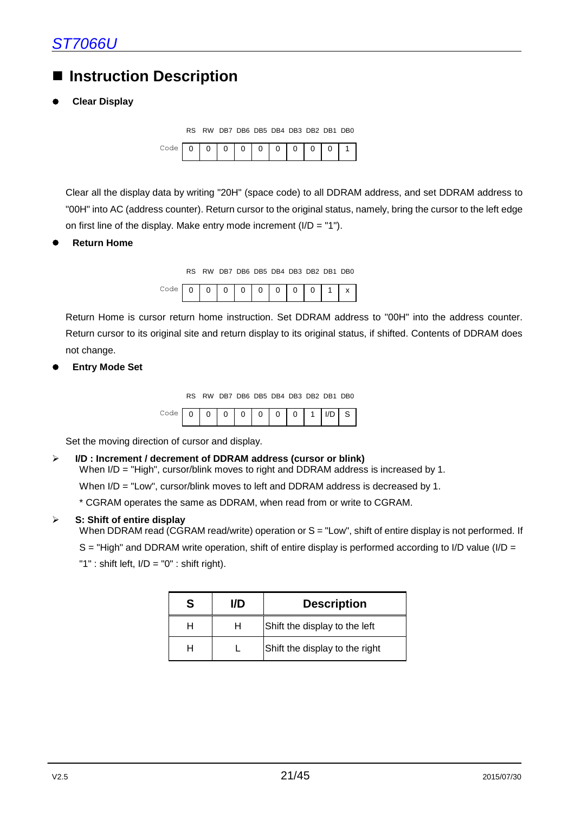### **Instruction Description**

#### **Clear Display**



Clear all the display data by writing "20H" (space code) to all DDRAM address, and set DDRAM address to "00H" into AC (address counter). Return cursor to the original status, namely, bring the cursor to the left edge on first line of the display. Make entry mode increment  $(I/D = "1")$ .

**Return Home**

RS RW DB7 DB6 DB5 DB4 DB3 DB2 DB1 DB0

| Code, | $\mathbf{I}$ |  |  |  |  |
|-------|--------------|--|--|--|--|

Return Home is cursor return home instruction. Set DDRAM address to "00H" into the address counter. Return cursor to its original site and return display to its original status, if shifted. Contents of DDRAM does not change.

#### **Entry Mode Set**

RS RW DB7 DB6 DB5 DB4 DB3 DB2 DB1 DB0

|  |  |  | O | $\mathbf{I}$ |  | O |  |  |  |  |
|--|--|--|---|--------------|--|---|--|--|--|--|
|--|--|--|---|--------------|--|---|--|--|--|--|

Set the moving direction of cursor and display.

#### **I/D : Increment / decrement of DDRAM address (cursor or blink)**

When I/D = "High", cursor/blink moves to right and DDRAM address is increased by 1.

When I/D = "Low", cursor/blink moves to left and DDRAM address is decreased by 1.

\* CGRAM operates the same as DDRAM, when read from or write to CGRAM.

#### **S: Shift of entire display**

When DDRAM read (CGRAM read/write) operation or S = "Low", shift of entire display is not performed. If

 $S = "High"$  and DDRAM write operation, shift of entire display is performed according to I/D value (I/D = "1" : shift left, I/D = "0" : shift right).

| S | I/D | <b>Description</b>             |
|---|-----|--------------------------------|
|   | н   | Shift the display to the left  |
|   |     | Shift the display to the right |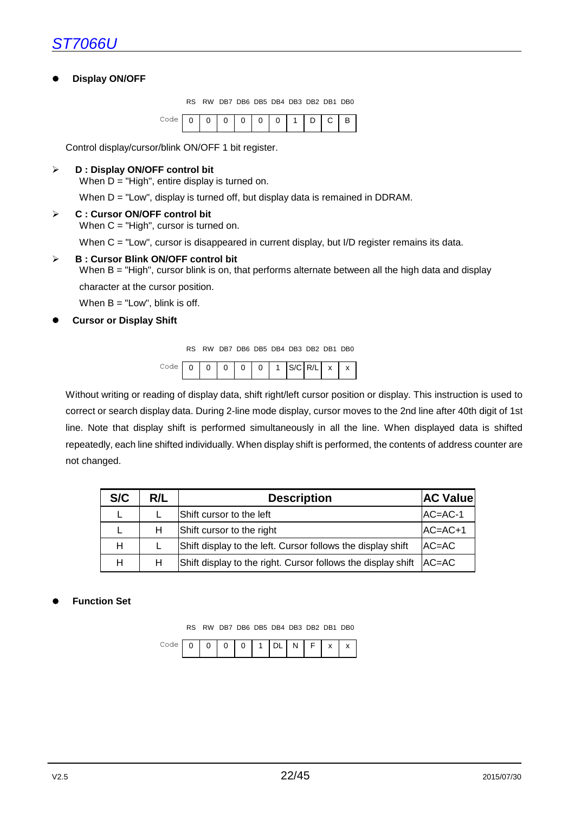#### **Display ON/OFF**

RS RW DB7 DB6 DB5 DB4 DB3 DB2 DB1 DB0



Control display/cursor/blink ON/OFF 1 bit register.

#### **D : Display ON/OFF control bit**

When  $D = "High",$  entire display is turned on.

When  $D = "Low", display is turned off, but display data is remained in DDRAM.$ 

#### **C : Cursor ON/OFF control bit**

When C = "High", cursor is turned on.

When C = "Low", cursor is disappeared in current display, but I/D register remains its data.

#### **B : Cursor Blink ON/OFF control bit**

When B = "High", cursor blink is on, that performs alternate between all the high data and display character at the cursor position.

When  $B = "Low",$  blink is off.

**Cursor or Display Shift**

RS RW DB7 DB6 DB5 DB4 DB3 DB2 DB1 DB0

|  |  |  |  | $\Omega$ | $\Omega$ |  | $C/C$  R/I   $\lambda$ |  | <b>x</b> |  |  |
|--|--|--|--|----------|----------|--|------------------------|--|----------|--|--|
|--|--|--|--|----------|----------|--|------------------------|--|----------|--|--|

Without writing or reading of display data, shift right/left cursor position or display. This instruction is used to correct or search display data. During 2-line mode display, cursor moves to the 2nd line after 40th digit of 1st line. Note that display shift is performed simultaneously in all the line. When displayed data is shifted repeatedly, each line shifted individually. When display shift is performed, the contents of address counter are not changed.

| S/C | R/L | <b>Description</b>                                                     | <b>AC Value</b> |
|-----|-----|------------------------------------------------------------------------|-----------------|
|     |     | Shift cursor to the left                                               | $AC = AC - 1$   |
|     | H   | Shift cursor to the right                                              | $AC=AC+1$       |
| н   |     | Shift display to the left. Cursor follows the display shift            | $AC=AC$         |
| н   |     | Shift display to the right. Cursor follows the display shift $ AC=AC $ |                 |

#### **Function Set**

RS RW DB7 DB6 DB5 DB4 DB3 DB2 DB1 DB0

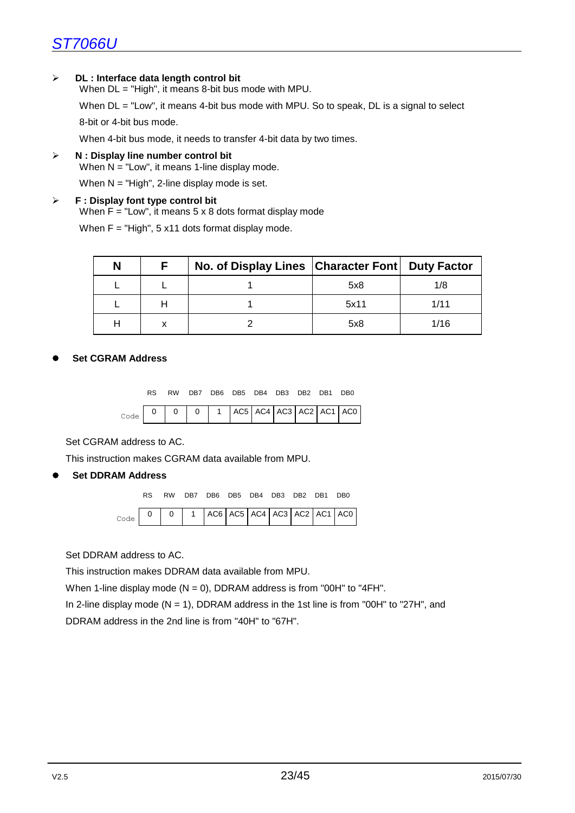#### **DL : Interface data length control bit**

When DL = "High", it means 8-bit bus mode with MPU.

When  $DL = "Low",$  it means 4-bit bus mode with MPU. So to speak, DL is a signal to select

8-bit or 4-bit bus mode.

When 4-bit bus mode, it needs to transfer 4-bit data by two times.

**N : Display line number control bit**

When  $N = "Low",$  it means 1-line display mode.

When  $N = "High", 2-line display mode is set.$ 

#### **F : Display font type control bit**

When  $F = "Low",$  it means  $5 \times 8$  dots format display mode

When  $F = "High", 5 x11 dots format display mode.$ 

| N | No. of Display Lines   Character Font   Duty Factor |      |      |
|---|-----------------------------------------------------|------|------|
|   |                                                     | 5x8  | 1/8  |
|   |                                                     | 5x11 | 1/11 |
|   |                                                     | 5x8  | 1/16 |

#### **Set CGRAM Address**

RS RW DB7 DB6 DB5 DB4 DB3 DB2 DB1 DB0

|  |  |  |  |  | $AC5$ $AC4$ $AC3$ $AC2$ $AC1$ $AC1$ |
|--|--|--|--|--|-------------------------------------|

Set CGRAM address to AC.

This instruction makes CGRAM data available from MPU.

**Set DDRAM Address**



Set DDRAM address to AC.

This instruction makes DDRAM data available from MPU.

When 1-line display mode  $(N = 0)$ , DDRAM address is from "00H" to "4FH".

In 2-line display mode ( $N = 1$ ), DDRAM address in the 1st line is from "00H" to "27H", and

DDRAM address in the 2nd line is from "40H" to "67H".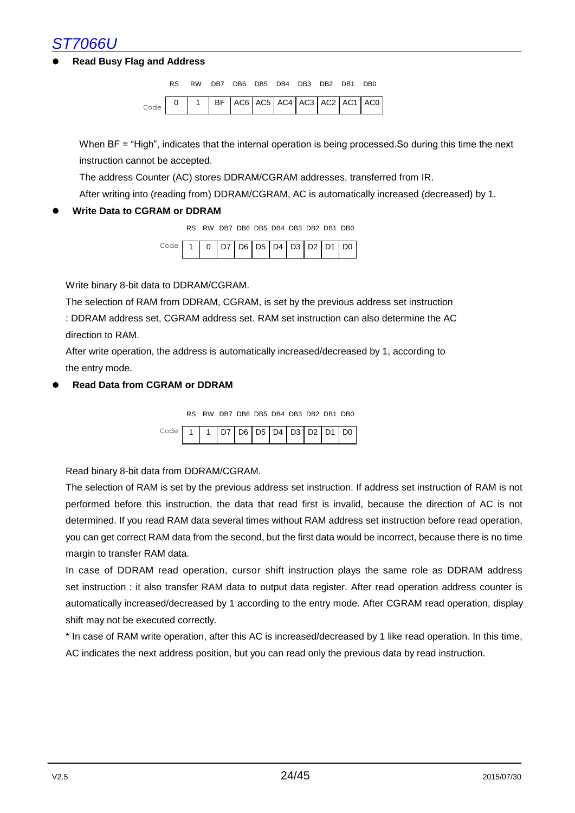#### **Read Busy Flag and Address**



When BF = "High", indicates that the internal operation is being processed.So during this time the next instruction cannot be accepted.

The address Counter (AC) stores DDRAM/CGRAM addresses, transferred from IR.

After writing into (reading from) DDRAM/CGRAM, AC is automatically increased (decreased) by 1.

#### **Write Data to CGRAM or DDRAM**

RS RW DB7 DB6 DB5 DB4 DB3 DB2 DB1 DB0

| ⊙de   1   0   D7   D6   D5   D4   D3   D2   D1   D0 |  |  |  |  |  |  |
|-----------------------------------------------------|--|--|--|--|--|--|
|                                                     |  |  |  |  |  |  |

Write binary 8-bit data to DDRAM/CGRAM.

The selection of RAM from DDRAM, CGRAM, is set by the previous address set instruction

: DDRAM address set, CGRAM address set. RAM set instruction can also determine the AC direction to RAM.

After write operation, the address is automatically increased/decreased by 1, according to the entry mode.

#### **Read Data from CGRAM or DDRAM**

|  |  | RS RW DB7 DB6 DB5 DB4 DB3 DB2 DB1 DB0 |  |  |  |
|--|--|---------------------------------------|--|--|--|

Read binary 8-bit data from DDRAM/CGRAM.

The selection of RAM is set by the previous address set instruction. If address set instruction of RAM is not performed before this instruction, the data that read first is invalid, because the direction of AC is not determined. If you read RAM data several times without RAM address set instruction before read operation, you can get correct RAM data from the second, but the first data would be incorrect, because there is no time margin to transfer RAM data.

In case of DDRAM read operation, cursor shift instruction plays the same role as DDRAM address set instruction : it also transfer RAM data to output data register. After read operation address counter is automatically increased/decreased by 1 according to the entry mode. After CGRAM read operation, display shift may not be executed correctly.

\* In case of RAM write operation, after this AC is increased/decreased by 1 like read operation. In this time, AC indicates the next address position, but you can read only the previous data by read instruction.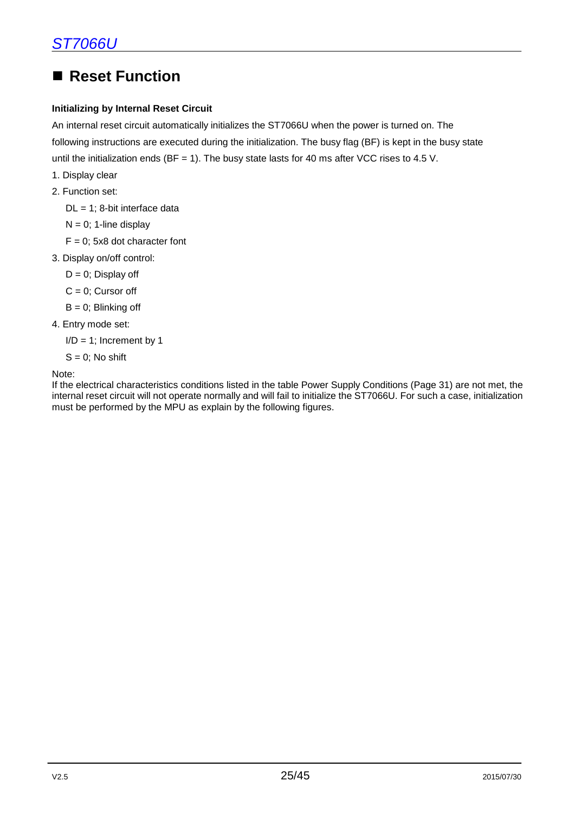### ■ Reset Function

#### **Initializing by Internal Reset Circuit**

An internal reset circuit automatically initializes the ST7066U when the power is turned on. The following instructions are executed during the initialization. The busy flag (BF) is kept in the busy state until the initialization ends (BF = 1). The busy state lasts for 40 ms after VCC rises to 4.5 V.

- 1. Display clear
- 2. Function set:
	- $DL = 1$ ; 8-bit interface data
	- $N = 0$ ; 1-line display
	- $F = 0$ ; 5x8 dot character font
- 3. Display on/off control:
	- $D = 0$ ; Display off
	- $C = 0$ ; Cursor off
	- $B = 0$ ; Blinking off
- 4. Entry mode set:
	- $I/D = 1$ ; Increment by 1
	- $S = 0$ ; No shift

Note:

If the electrical characteristics conditions listed in the table Power Supply Conditions (Page 31) are not met, the internal reset circuit will not operate normally and will fail to initialize the ST7066U. For such a case, initialization must be performed by the MPU as explain by the following figures.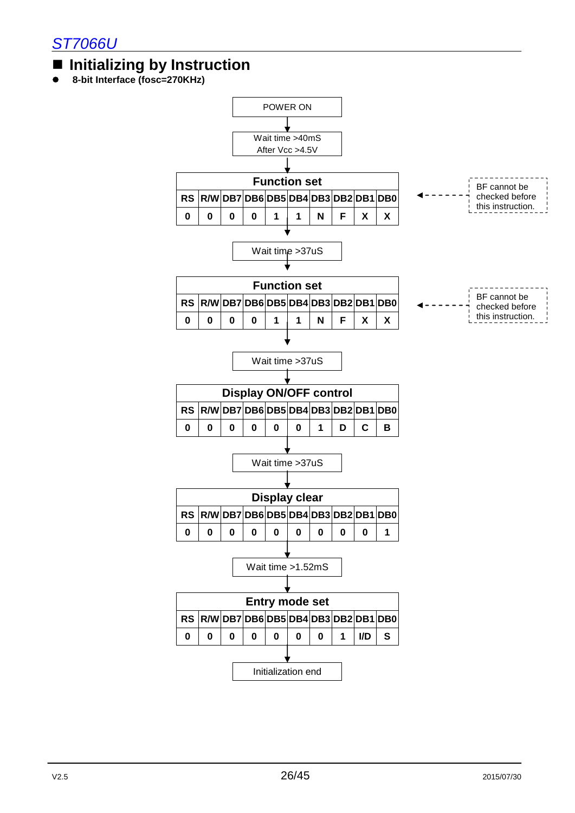### **Initializing by Instruction**

**8-bit Interface (fosc=270KHz)**

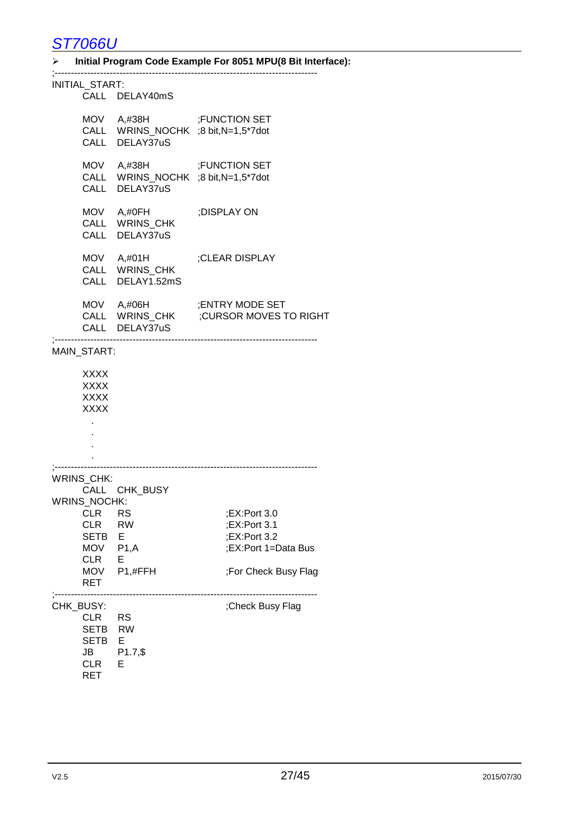#### **Initial Program Code Example For 8051 MPU(8 Bit Interface):**

| INITIAL_START:                                                                          | CALL DELAY40mS                                                                   |                                                                                             |
|-----------------------------------------------------------------------------------------|----------------------------------------------------------------------------------|---------------------------------------------------------------------------------------------|
|                                                                                         | MOV A,#38H ;FUNCTION SET<br>CALL WRINS_NOCHK ;8 bit,N=1,5*7dot<br>CALL DELAY37uS |                                                                                             |
|                                                                                         | MOV A,#38H ;FUNCTION SET<br>CALL WRINS_NOCHK ;8 bit,N=1,5*7dot<br>CALL DELAY37uS |                                                                                             |
|                                                                                         | MOV A,#0FH<br>CALL WRINS_CHK<br>CALL DELAY37uS                                   | ;DISPLAY ON                                                                                 |
|                                                                                         | MOV A,#01H<br>CALL WRINS_CHK<br>CALL DELAY1.52mS                                 | ;CLEAR DISPLAY                                                                              |
|                                                                                         | CALL DELAY37uS                                                                   | MOV A,#06H ;ENTRY MODE SET<br>CALL WRINS_CHK ;CURSOR MOVES TO<br>CURSOR MOVES TO RIGHT;     |
| MAIN_START:                                                                             |                                                                                  |                                                                                             |
| XXXX<br><b>XXXX</b><br><b>XXXX</b><br><b>XXXX</b>                                       |                                                                                  |                                                                                             |
| WRINS_CHK:                                                                              |                                                                                  |                                                                                             |
| <b>CLR</b><br><b>CLR</b><br><b>SETB</b><br>MOV P1,A<br>CLR<br>MOV<br>RET                | CALL CHK_BUSY<br>WRINS_NOCHK:<br>RS<br><b>RW</b><br>Е<br>Е<br>P1,#FFH            | ;EX:Port 3.0<br>;EX:Port 3.1<br>;EX:Port 3.2<br>:EX:Port 1=Data Bus<br>;For Check Busy Flag |
| CHK_BUSY:<br><b>CLR</b><br><b>SETB</b><br><b>SETB</b><br>JB<br><b>CLR</b><br><b>RET</b> | -------------------<br><b>RS</b><br><b>RW</b><br>E<br>$P1.7,$ \$<br>Е            | ;Check Busy Flag                                                                            |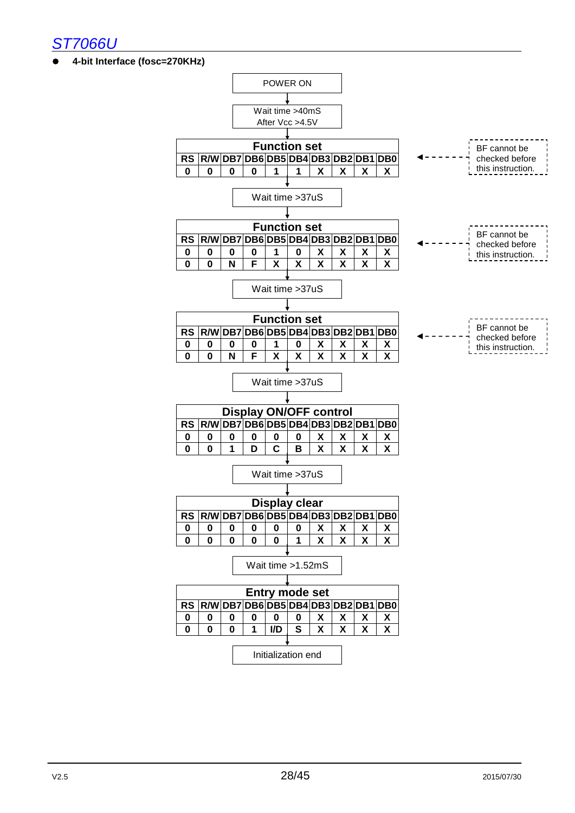

**4-bit Interface (fosc=270KHz)**

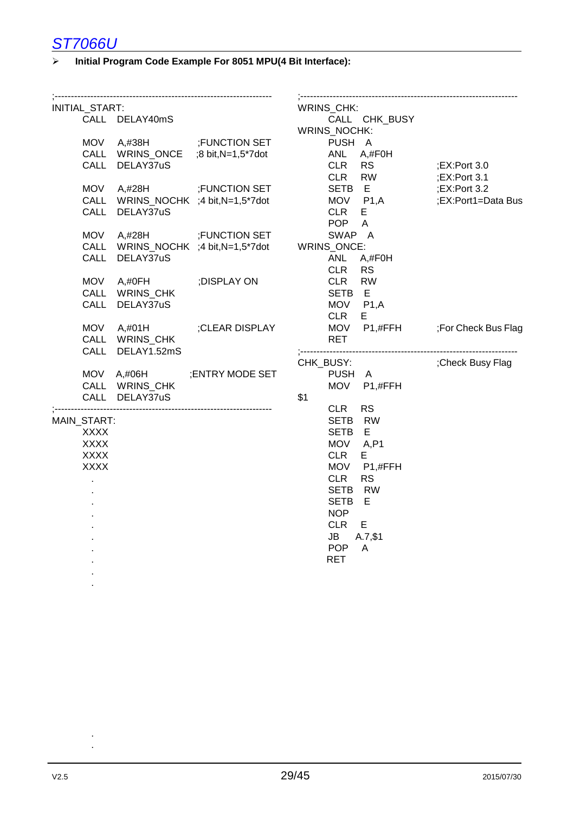#### **Initial Program Code Example For 8051 MPU(4 Bit Interface):**

| INITIAL_START: |                                     |                                           | WRINS_CHK:                                    |                    |
|----------------|-------------------------------------|-------------------------------------------|-----------------------------------------------|--------------------|
|                | CALL DELAY40mS                      |                                           | CALL CHK_BUSY                                 |                    |
| <b>MOV</b>     |                                     | A,#38H ;FUNCTION SET                      | WRINS_NOCHK:<br>PUSH A                        |                    |
| <b>CALL</b>    | WRINS_ONCE                          | ;8 bit, N=1,5*7dot                        | ANL<br>$A, \#FOH$                             |                    |
| CALL           | DELAY37uS                           |                                           | <b>CLR</b><br><b>RS</b>                       | $;$ EX:Port 3.0    |
|                |                                     |                                           | <b>CLR</b><br><b>RW</b>                       | $:$ EX:Port 3.1    |
| <b>MOV</b>     | A,#28H                              | <b>FUNCTION SET</b>                       | SETB E                                        | $;$ EX:Port 3.2    |
|                | CALL WRINS_NOCHK ;4 bit, N=1,5*7dot |                                           | MOV P1,A                                      | ;EX:Port1=Data Bus |
|                | CALL DELAY37uS                      |                                           | <b>CLR</b><br>E.                              |                    |
|                |                                     |                                           | <b>POP</b><br>$\overline{A}$                  |                    |
| <b>MOV</b>     |                                     | A,#28H ;FUNCTION SET                      | SWAP A                                        |                    |
| <b>CALL</b>    |                                     | WRINS_NOCHK ;4 bit,N=1,5*7dot WRINS_ONCE: |                                               |                    |
| CALL           | DELAY37uS                           |                                           | <b>ANL</b><br>A,#F0H                          |                    |
|                |                                     |                                           | <b>CLR</b><br><b>RS</b>                       |                    |
| <b>MOV</b>     | A,#0FH                              | ;DISPLAY ON                               | <b>CLR</b><br><b>RW</b>                       |                    |
|                | CALL WRINS_CHK                      |                                           | SETB E                                        |                    |
|                | CALL DELAY37uS                      |                                           | MOV P1,A                                      |                    |
|                |                                     |                                           | <b>CLR</b><br>E.                              |                    |
| <b>MOV</b>     | A,#01H<br>CALL WRINS_CHK            | ;CLEAR DISPLAY                            | MOV P1,#FFH ;For Check Bus Flag<br><b>RET</b> |                    |
|                | CALL DELAY1.52mS                    |                                           |                                               |                    |
|                |                                     |                                           | CHK_BUSY:                                     | Check Busy Flag;   |
| MOV            | A,#06H                              | ; ENTRY MODE SET                          | PUSH A                                        |                    |
|                | CALL WRINS_CHK                      |                                           | MOV P1,#FFH                                   |                    |
|                | CALL DELAY37uS                      |                                           | \$1                                           |                    |
|                |                                     |                                           | <b>CLR</b><br><b>RS</b>                       |                    |
| MAIN_START:    |                                     |                                           | SETB RW                                       |                    |
| <b>XXXX</b>    |                                     |                                           | SETB E                                        |                    |
| <b>XXXX</b>    |                                     |                                           | MOV A,P1                                      |                    |
| <b>XXXX</b>    |                                     |                                           | <b>CLR</b><br>E.                              |                    |
| <b>XXXX</b>    |                                     |                                           | MOV<br>P1,#FFH                                |                    |
|                |                                     |                                           | <b>CLR</b><br><b>RS</b>                       |                    |
|                |                                     |                                           | <b>SETB</b><br><b>RW</b>                      |                    |
|                |                                     |                                           | Е<br><b>SETB</b>                              |                    |
|                |                                     |                                           | <b>NOP</b><br><b>CLR</b><br>E.                |                    |
|                |                                     |                                           | A.7, \$1<br>JB                                |                    |
|                |                                     |                                           | <b>POP</b><br>$\mathsf{A}$                    |                    |
|                |                                     |                                           | <b>RET</b>                                    |                    |
|                |                                     |                                           |                                               |                    |
|                |                                     |                                           |                                               |                    |
|                |                                     |                                           |                                               |                    |

. .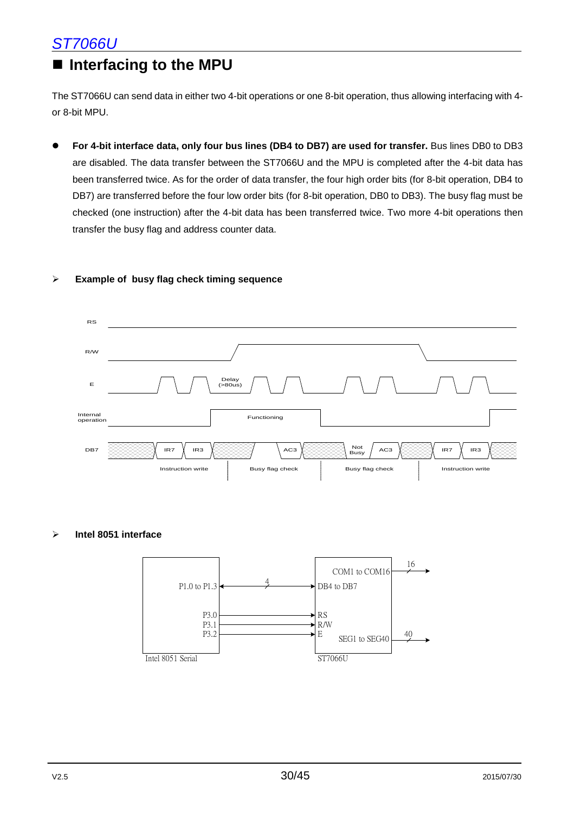### **Interfacing to the MPU**

The ST7066U can send data in either two 4-bit operations or one 8-bit operation, thus allowing interfacing with 4 or 8-bit MPU.

 **For 4-bit interface data, only four bus lines (DB4 to DB7) are used for transfer.** Bus lines DB0 to DB3 are disabled. The data transfer between the ST7066U and the MPU is completed after the 4-bit data has been transferred twice. As for the order of data transfer, the four high order bits (for 8-bit operation, DB4 to DB7) are transferred before the four low order bits (for 8-bit operation, DB0 to DB3). The busy flag must be checked (one instruction) after the 4-bit data has been transferred twice. Two more 4-bit operations then transfer the busy flag and address counter data.

#### **Example of busy flag check timing sequence**



#### **Intel 8051 interface**

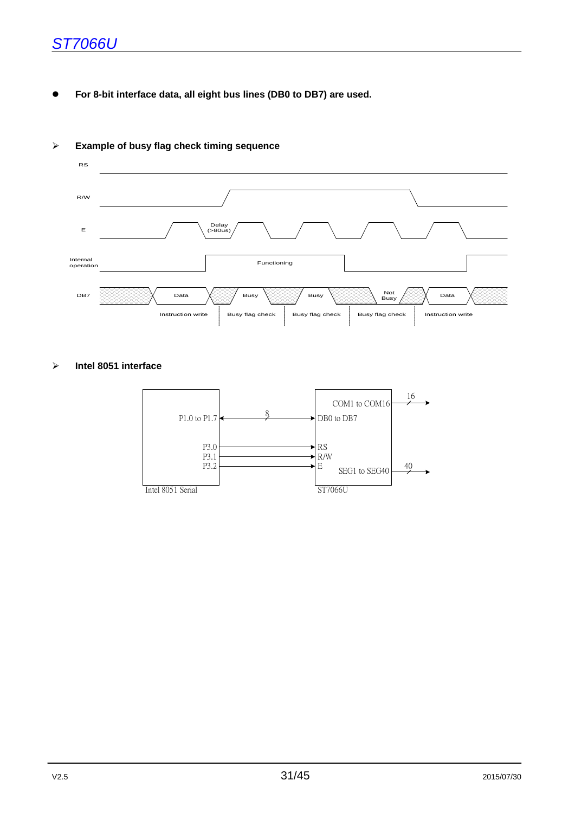**For 8-bit interface data, all eight bus lines (DB0 to DB7) are used.**



#### **Example of busy flag check timing sequence**

#### **Intel 8051 interface**

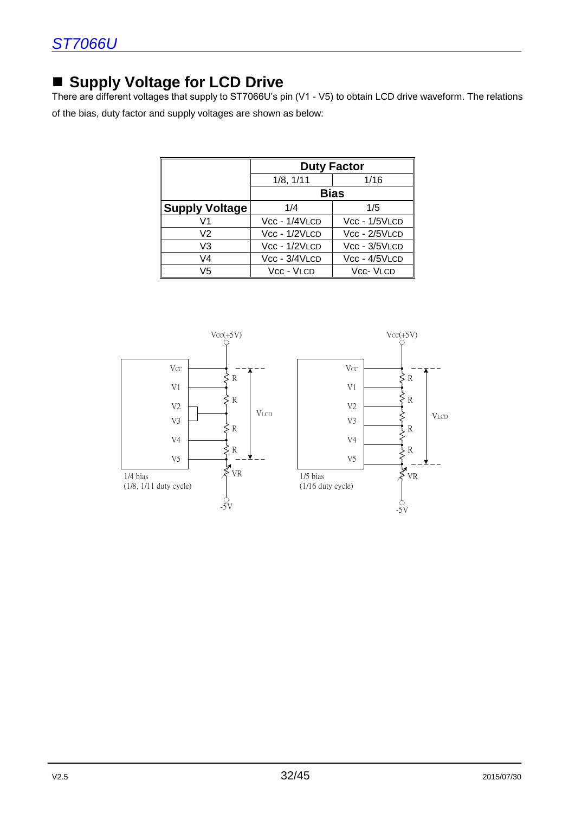### ■ Supply Voltage for LCD Drive

There are different voltages that supply to ST7066U's pin (V1 - V5) to obtain LCD drive waveform. The relations of the bias, duty factor and supply voltages are shown as below:

|                       | <b>Duty Factor</b> |                  |  |  |  |  |
|-----------------------|--------------------|------------------|--|--|--|--|
|                       | 1/8, 1/11          | 1/16             |  |  |  |  |
|                       |                    | <b>Bias</b>      |  |  |  |  |
| <b>Supply Voltage</b> | 1/4                | 1/5              |  |  |  |  |
| V1                    | $Vec - 1/4VLCD$    | Vcc - 1/5VLCD    |  |  |  |  |
| V2                    | Vcc - 1/2VLCD      | Vcc - 2/5VLCD    |  |  |  |  |
| V3                    | Vcc - 1/2VLCD      | $Vec - 3/5VLCD$  |  |  |  |  |
| V4                    | Vcc - 3/4VLCD      | Vcc - 4/5VLCD    |  |  |  |  |
| V5                    | Vcc - VLCD         | <b>Vcc- VLCD</b> |  |  |  |  |

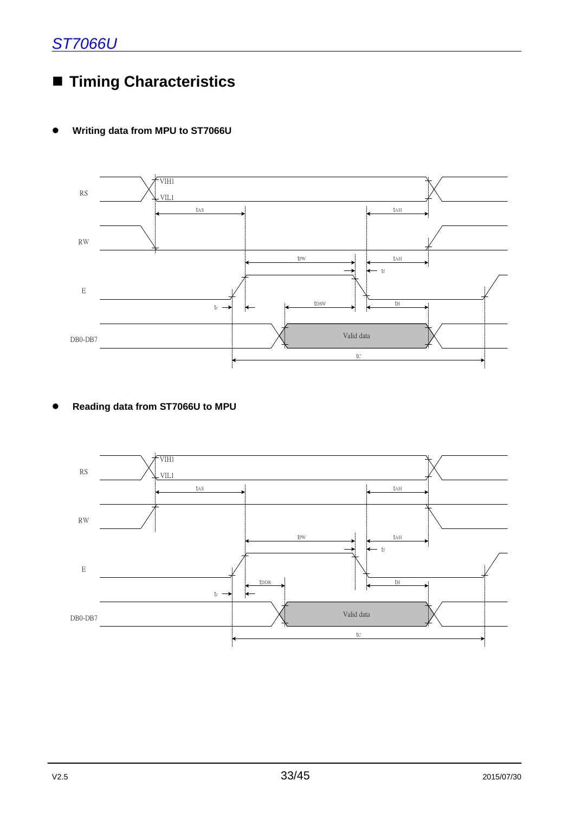### **Timing Characteristics**

#### **Writing data from MPU to ST7066U**



#### **Reading data from ST7066U to MPU**

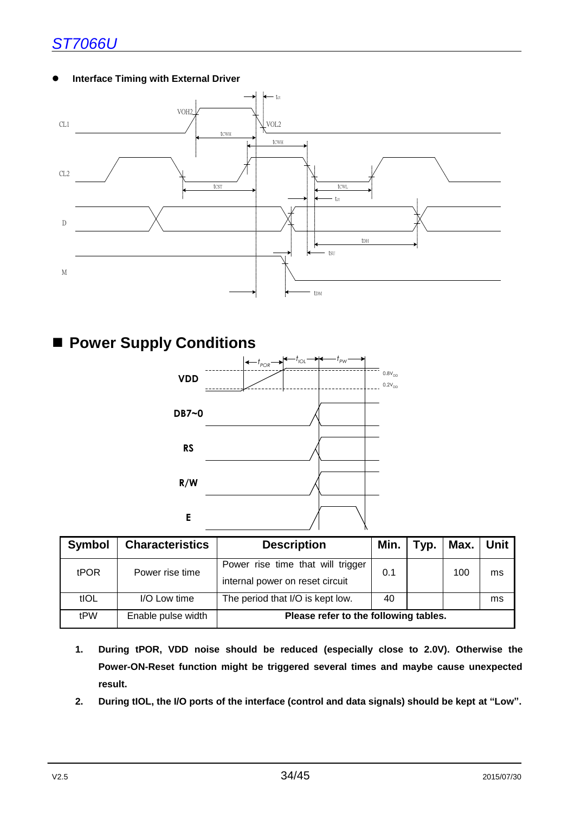#### **Interface Timing with External Driver**



### **Power Supply Conditions**



| <b>Symbol</b> | <b>Characteristics</b> | <b>Description</b>                                                   | Min. | Typ. |     | Max. Unit |  |  |
|---------------|------------------------|----------------------------------------------------------------------|------|------|-----|-----------|--|--|
| <b>tPOR</b>   | Power rise time        | Power rise time that will trigger<br>internal power on reset circuit | 0.1  |      | 100 | ms        |  |  |
| tIOL          | I/O Low time           | The period that I/O is kept low.                                     | 40   |      |     | ms        |  |  |
| tPW           | Enable pulse width     | Please refer to the following tables.                                |      |      |     |           |  |  |

- **1. During tPOR, VDD noise should be reduced (especially close to 2.0V). Otherwise the Power-ON-Reset function might be triggered several times and maybe cause unexpected result.**
- **2. During tIOL, the I/O ports of the interface (control and data signals) should be kept at "Low".**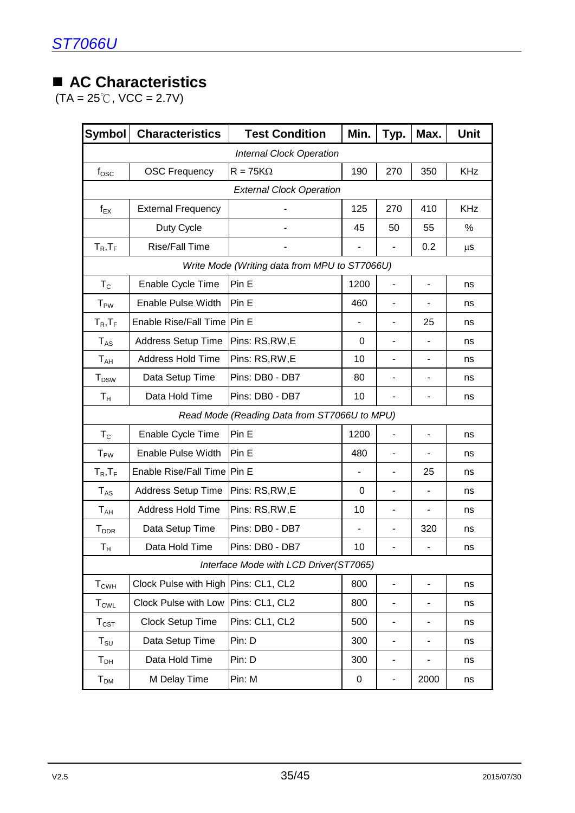### **AC Characteristics**

 $(TA = 25^{\circ}C, \text{VCC} = 2.7V)$ 

| <b>Symbol</b>               | <b>Characteristics</b>               | <b>Test Condition</b>                         | Min.                     | Typ.                     | Max.                     | <b>Unit</b> |  |  |  |  |  |  |
|-----------------------------|--------------------------------------|-----------------------------------------------|--------------------------|--------------------------|--------------------------|-------------|--|--|--|--|--|--|
|                             | <b>Internal Clock Operation</b>      |                                               |                          |                          |                          |             |  |  |  |  |  |  |
| $f_{\rm osc}$               | <b>OSC Frequency</b>                 | $R = 75K\Omega$                               | 190                      | 270                      | 350                      | <b>KHz</b>  |  |  |  |  |  |  |
|                             | <b>External Clock Operation</b>      |                                               |                          |                          |                          |             |  |  |  |  |  |  |
| $f_{EX}$                    | <b>External Frequency</b>            |                                               | 125                      | 270                      | 410                      | <b>KHz</b>  |  |  |  |  |  |  |
|                             | Duty Cycle                           |                                               | 45                       | 50                       | 55                       | $\%$        |  |  |  |  |  |  |
| $T_R$ , $T_F$               | <b>Rise/Fall Time</b>                |                                               | $\overline{\phantom{a}}$ |                          | 0.2                      | μS          |  |  |  |  |  |  |
|                             |                                      | Write Mode (Writing data from MPU to ST7066U) |                          |                          |                          |             |  |  |  |  |  |  |
| $T_{\rm C}$                 | Enable Cycle Time                    | Pin E                                         | 1200                     |                          | -                        | ns          |  |  |  |  |  |  |
| $T_{PW}$                    | <b>Enable Pulse Width</b>            | Pin E                                         | 460                      |                          | -                        | ns          |  |  |  |  |  |  |
| $T_R$ , $T_F$               | Enable Rise/Fall Time Pin E          |                                               | $\overline{\phantom{a}}$ | $\overline{\phantom{a}}$ | 25                       | ns          |  |  |  |  |  |  |
| $T_{AS}$                    | <b>Address Setup Time</b>            | Pins: RS,RW,E                                 | 0                        |                          |                          | ns          |  |  |  |  |  |  |
| $T_{AH}$                    | <b>Address Hold Time</b>             | Pins: RS, RW, E                               | 10                       |                          | -                        | ns          |  |  |  |  |  |  |
| <b>T</b> <sub>DSW</sub>     | Data Setup Time                      | Pins: DB0 - DB7                               | 80                       |                          | -                        | ns          |  |  |  |  |  |  |
| $T_{\mathsf{H}}$            | Data Hold Time                       | Pins: DB0 - DB7                               | 10                       |                          |                          | ns          |  |  |  |  |  |  |
|                             |                                      | Read Mode (Reading Data from ST7066U to MPU)  |                          |                          |                          |             |  |  |  |  |  |  |
| $T_{\rm C}$                 | Enable Cycle Time                    | Pin E                                         | 1200                     |                          | ٠                        | ns          |  |  |  |  |  |  |
| <b>T</b> <sub>PW</sub>      | <b>Enable Pulse Width</b>            | Pin E                                         | 480                      |                          |                          | ns          |  |  |  |  |  |  |
| $T_R$ , $T_F$               | Enable Rise/Fall Time   Pin E        |                                               | $\blacksquare$           | $\overline{\phantom{a}}$ | 25                       | ns          |  |  |  |  |  |  |
| $T_{AS}$                    | <b>Address Setup Time</b>            | Pins: RS,RW,E                                 | 0                        | $\overline{\phantom{0}}$ | $\overline{\phantom{0}}$ | ns          |  |  |  |  |  |  |
| $T_{AH}$                    | <b>Address Hold Time</b>             | Pins: RS, RW, E                               | 10                       |                          |                          | ns          |  |  |  |  |  |  |
| <b>T</b> <sub>DDR</sub>     | Data Setup Time                      | Pins: DB0 - DB7                               | $\overline{\phantom{a}}$ | $\overline{\phantom{0}}$ | 320                      | ns          |  |  |  |  |  |  |
| Т <sub>н</sub>              | Data Hold Time                       | Pins: DB0 - DB7                               | 10                       | $\overline{\phantom{0}}$ | ٠                        | ns          |  |  |  |  |  |  |
|                             |                                      | Interface Mode with LCD Driver(ST7065)        |                          |                          |                          |             |  |  |  |  |  |  |
| $T_{CWH}$                   | Clock Pulse with High Pins: CL1, CL2 |                                               | 800                      | $\blacksquare$           | $\overline{a}$           | ns          |  |  |  |  |  |  |
| $T_{\text{CWL}}$            | Clock Pulse with Low                 | Pins: CL1, CL2                                | 800                      | $\overline{\phantom{0}}$ | -                        | ns          |  |  |  |  |  |  |
| $\mathsf{T}_{\texttt{CST}}$ | Clock Setup Time                     | Pins: CL1, CL2                                | 500                      | $\overline{\phantom{a}}$ | -                        | ns          |  |  |  |  |  |  |
| $T_{\scriptstyle\text{SU}}$ | Data Setup Time                      | Pin: D                                        | 300                      | $\overline{\phantom{m}}$ | -                        | ns          |  |  |  |  |  |  |
| ${\mathsf T}_{\mathsf{DH}}$ | Data Hold Time                       | Pin: D                                        | 300                      | $\blacksquare$           | -                        | ns          |  |  |  |  |  |  |
| $T_{DM}$                    | M Delay Time                         | Pin: M                                        | 0                        |                          | 2000                     | ns          |  |  |  |  |  |  |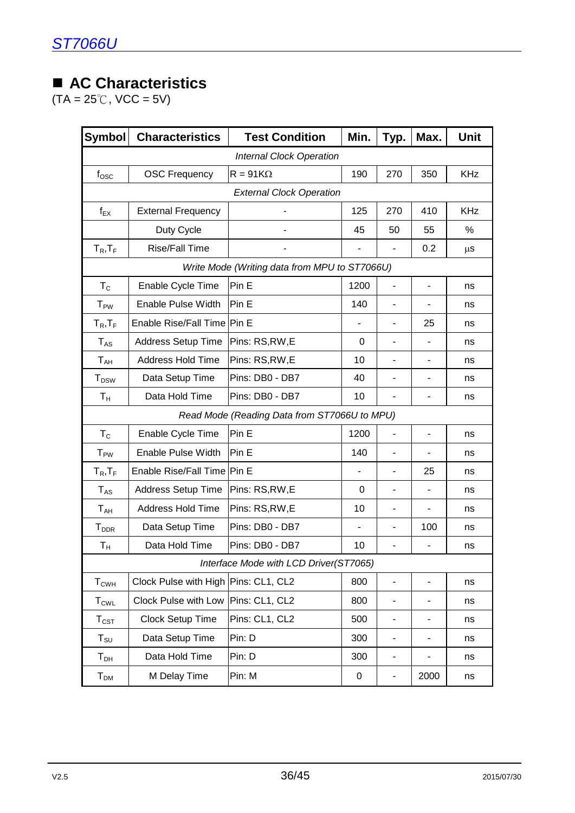### **AC Characteristics**

 $(TA = 25^{\circ}C, \text{VCC} = 5V)$ 

| <b>Symbol</b>               | <b>Characteristics</b>               | <b>Test Condition</b>                         | Min.      | Typ.                         | Max.                     | <b>Unit</b> |  |  |  |  |  |
|-----------------------------|--------------------------------------|-----------------------------------------------|-----------|------------------------------|--------------------------|-------------|--|--|--|--|--|
|                             | <b>Internal Clock Operation</b>      |                                               |           |                              |                          |             |  |  |  |  |  |
| $f_{\rm OSC}$               | <b>OSC Frequency</b>                 | $R = 91K\Omega$                               | 190       | 270                          | 350                      | <b>KHz</b>  |  |  |  |  |  |
|                             | <b>External Clock Operation</b>      |                                               |           |                              |                          |             |  |  |  |  |  |
| $f_{EX}$                    | <b>External Frequency</b>            |                                               | 125       | 270                          | 410                      | <b>KHz</b>  |  |  |  |  |  |
|                             | Duty Cycle                           |                                               | 45        | 50                           | 55                       | %           |  |  |  |  |  |
| $T_R$ , $T_F$               | <b>Rise/Fall Time</b>                |                                               |           |                              | 0.2                      | $\mu s$     |  |  |  |  |  |
|                             |                                      | Write Mode (Writing data from MPU to ST7066U) |           |                              |                          |             |  |  |  |  |  |
| $T_{\rm C}$                 | Enable Cycle Time                    | Pin E                                         | 1200      | ÷,                           | $\overline{\phantom{0}}$ | ns          |  |  |  |  |  |
| $T_{PW}$                    | Enable Pulse Width                   | Pin E                                         | 140       |                              |                          | ns          |  |  |  |  |  |
| $T_R$ , $T_F$               | <b>Enable Rise/Fall Time</b>         | Pin E                                         |           |                              | 25                       | ns          |  |  |  |  |  |
| <b>TAS</b>                  | <b>Address Setup Time</b>            | Pins: RS, RW, E                               | 0         |                              |                          | ns          |  |  |  |  |  |
| T <sub>AH</sub>             | <b>Address Hold Time</b>             | Pins: RS, RW, E                               | 10        | $\blacksquare$               | $\overline{\phantom{0}}$ | ns          |  |  |  |  |  |
| $T_{DSW}$                   | Data Setup Time                      | Pins: DB0 - DB7                               | 40        |                              |                          | ns          |  |  |  |  |  |
| $T_{\rm H}$                 | Data Hold Time                       | Pins: DB0 - DB7                               | 10        |                              |                          | ns          |  |  |  |  |  |
|                             |                                      | Read Mode (Reading Data from ST7066U to MPU)  |           |                              |                          |             |  |  |  |  |  |
| $T_{\rm C}$                 | Enable Cycle Time                    | Pin E                                         | 1200      | $\qquad \qquad \blacksquare$ | -                        | ns          |  |  |  |  |  |
| $T_{PW}$                    | Enable Pulse Width                   | Pin E                                         | 140       |                              |                          | ns          |  |  |  |  |  |
| $T_R$ , $T_F$               | <b>Enable Rise/Fall Time</b>         | Pin E                                         |           | ٠                            | 25                       | ns          |  |  |  |  |  |
| $T_{AS}$                    | <b>Address Setup Time</b>            | Pins: RS, RW, E                               | 0         | $\qquad \qquad \blacksquare$ |                          | ns          |  |  |  |  |  |
| T <sub>AH</sub>             | <b>Address Hold Time</b>             | Pins: RS, RW, E                               | 10        | $\blacksquare$               |                          | ns          |  |  |  |  |  |
| T <sub>DDR</sub>            | Data Setup Time                      | Pins: DB0 - DB7                               |           |                              | 100                      | ns          |  |  |  |  |  |
| $\mathsf{T}_\mathsf{H}$     | Data Hold Time                       | Pins: DB0 - DB7                               | 10        | $\blacksquare$               | -                        | ns          |  |  |  |  |  |
|                             |                                      | Interface Mode with LCD Driver(ST7065)        |           |                              |                          |             |  |  |  |  |  |
| $T_{CWH}$                   | Clock Pulse with High Pins: CL1, CL2 |                                               | 800       | $\overline{\phantom{a}}$     | $\overline{\phantom{0}}$ | ns          |  |  |  |  |  |
| $T_{\textrm{CWL}}$          | Clock Pulse with Low                 | Pins: CL1, CL2                                | 800       |                              |                          | ns          |  |  |  |  |  |
| $T_{\text{CST}}$            | Clock Setup Time                     | Pins: CL1, CL2                                | 500       | -                            | -                        | ns          |  |  |  |  |  |
| $T_{\scriptstyle\text{SU}}$ | Data Setup Time                      | Pin: D                                        | 300       | $\overline{\phantom{a}}$     | ۰                        | ns          |  |  |  |  |  |
| ${\mathsf T}_{\mathsf{DH}}$ | Data Hold Time                       | Pin: D                                        | 300       | $\overline{\phantom{a}}$     | ۰                        | ns          |  |  |  |  |  |
| ${\sf T}_{\sf DM}$          | M Delay Time                         | Pin: M                                        | $\pmb{0}$ | $\qquad \qquad \blacksquare$ | 2000                     | ns          |  |  |  |  |  |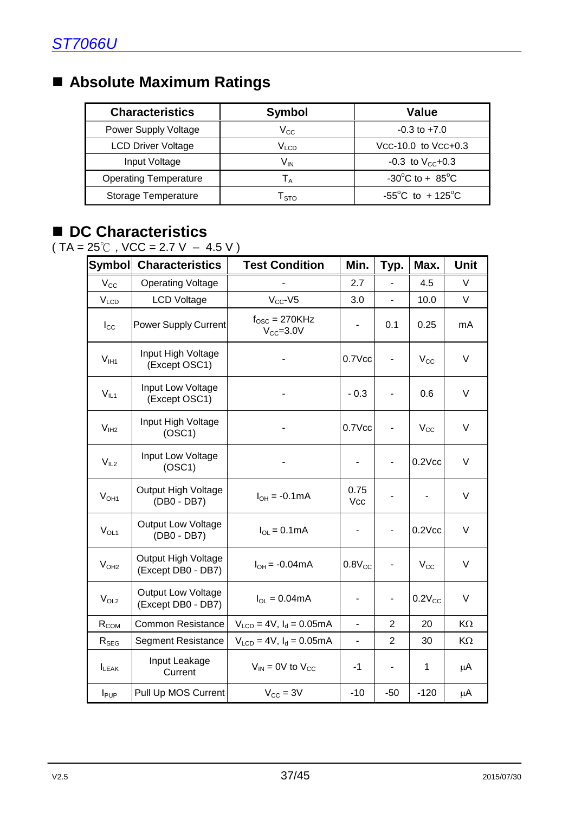### **Absolute Maximum Ratings**

| <b>Characteristics</b>       | <b>Symbol</b>               | <b>Value</b>                         |
|------------------------------|-----------------------------|--------------------------------------|
| Power Supply Voltage         | $V_{CC}$                    | $-0.3$ to $+7.0$                     |
| <b>LCD Driver Voltage</b>    | $\mathsf{V}_{\mathsf{LCD}}$ | Vcc-10.0 to Vcc+0.3                  |
| Input Voltage                | V <sub>IN</sub>             | $-0.3$ to V <sub>cc</sub> +0.3       |
| <b>Operating Temperature</b> | $T_A$                       | $-30^{\circ}$ C to + 85 $^{\circ}$ C |
| Storage Temperature          | l sto                       | $-55^{\circ}$ C to $+125^{\circ}$ C  |

### ■ DC Characteristics

 $(TA = 25^{\circ}C, \text{VCC} = 2.7 \text{ V} - 4.5 \text{ V})$ 

| <b>Symbol</b>    | <b>Characteristics</b>                          | <b>Test Condition</b>                         | Min.                     | Typ.                     | Max.                         | <b>Unit</b> |
|------------------|-------------------------------------------------|-----------------------------------------------|--------------------------|--------------------------|------------------------------|-------------|
| $V_{\rm CC}$     | <b>Operating Voltage</b>                        |                                               | 2.7                      | $\overline{a}$           | 4.5                          | V           |
| $V_{LCD}$        | <b>LCD Voltage</b>                              | $V_{CC}$ -V5                                  | 3.0                      | $\overline{a}$           | 10.0                         | $\vee$      |
| $I_{\rm CC}$     | <b>Power Supply Current</b>                     | $f_{\text{OSC}} = 270$ KHz<br>$V_{CC} = 3.0V$ |                          | 0.1                      | 0.25                         | mA          |
| $V_{\text{I}H1}$ | Input High Voltage<br>(Except OSC1)             |                                               | $0.7$ Vcc                | $\overline{\phantom{m}}$ | $V_{\rm CC}$                 | V           |
| $V_{IL1}$        | Input Low Voltage<br>(Except OSC1)              |                                               | $-0.3$                   |                          | 0.6                          | V           |
| V <sub>IH2</sub> | Input High Voltage<br>(OSC1)                    |                                               | $0.7$ Vcc                |                          | $V_{\rm CC}$                 | V           |
| V <sub>IL2</sub> | Input Low Voltage<br>(OSC1)                     |                                               |                          |                          | $0.2$ Vcc                    | V           |
| $V_{OH1}$        | Output High Voltage<br>(DB0 - DB7)              | $I_{OH} = -0.1 \text{mA}$                     | 0.75<br>Vcc              |                          | $\qquad \qquad \blacksquare$ | V           |
| $V_{OL1}$        | Output Low Voltage<br>(DB0 - DB7)               | $I_{OL} = 0.1 \text{mA}$                      | ۰                        |                          | $0.2$ $Vcc$                  | V           |
| V <sub>OH2</sub> | Output High Voltage<br>(Except DB0 - DB7)       | $I_{OH} = -0.04 \text{mA}$                    | $0.8V_{CC}$              | $\overline{\phantom{0}}$ | $V_{\rm CC}$                 | $\vee$      |
| $V_{OL2}$        | <b>Output Low Voltage</b><br>(Except DB0 - DB7) | $I_{OL} = 0.04 \text{mA}$                     | $\overline{\phantom{a}}$ |                          | $0.2V_{CC}$                  | V           |
| $R_{COM}$        | <b>Common Resistance</b>                        | $V_{LCD} = 4V$ , $I_d = 0.05mA$               | $\blacksquare$           | $\overline{2}$           | 20                           | KΩ          |
| $R_{SEG}$        | <b>Segment Resistance</b>                       | $V_{LCD} = 4V$ , $I_d = 0.05mA$               | $\blacksquare$           | $\overline{2}$           | 30                           | KΩ          |
| $I_{LEAK}$       | Input Leakage<br>Current                        | $V_{IN}$ = 0V to $V_{CC}$                     | $-1$                     |                          | 1                            | μA          |
| $I_{\text{PUP}}$ | Pull Up MOS Current                             | $V_{\text{CC}} = 3V$                          | $-10$                    | $-50$                    | $-120$                       | μA          |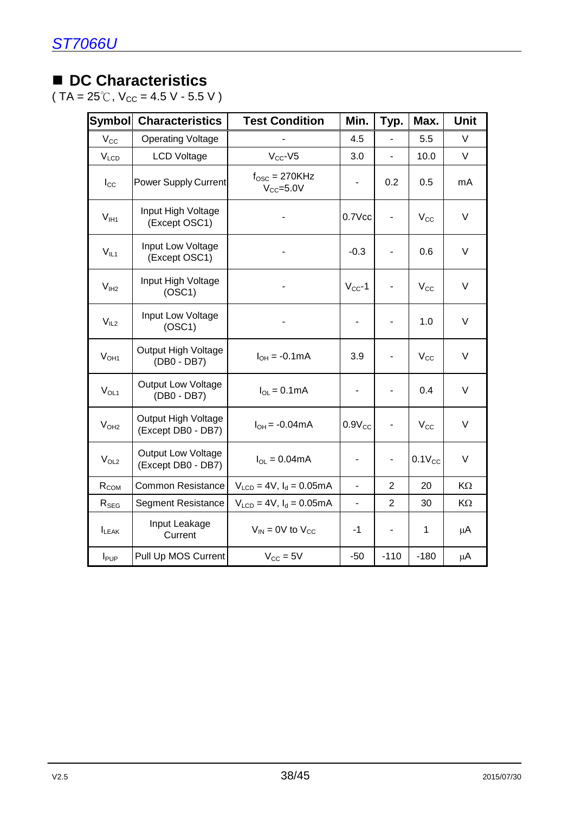### ■ DC Characteristics

( TA =  $25^{\circ}$ C, V<sub>CC</sub> = 4.5 V - 5.5 V )

| <b>Symbol</b>    | <b>Characteristics</b>                          | <b>Test Condition</b>                      | Min.                     | Typ.                     | Max.         | Unit   |
|------------------|-------------------------------------------------|--------------------------------------------|--------------------------|--------------------------|--------------|--------|
| $V_{\rm CC}$     | <b>Operating Voltage</b>                        |                                            | 4.5                      | $\overline{\phantom{a}}$ | 5.5          | V      |
| $V_{LCD}$        | <b>LCD Voltage</b>                              | $V_{CC}$ -V5                               | 3.0                      | $\overline{a}$           | 10.0         | V      |
| $I_{\rm CC}$     | <b>Power Supply Current</b>                     | $f_{\rm OSC} = 270$ KHz<br>$V_{CC} = 5.0V$ | -                        | 0.2                      | 0.5          | mA     |
| $V_{I H1}$       | Input High Voltage<br>(Except OSC1)             |                                            | $0.7$ Vcc                |                          | $V_{\rm CC}$ | V      |
| $V_{IL1}$        | Input Low Voltage<br>(Except OSC1)              |                                            | $-0.3$                   |                          | 0.6          | V      |
| V <sub>IH2</sub> | Input High Voltage<br>(OSC1)                    |                                            | $V_{CC}$ -1              |                          | $V_{\rm CC}$ | V      |
| $\rm V_{IL2}$    | Input Low Voltage<br>(OSC1)                     |                                            |                          | $\overline{a}$           | 1.0          | V      |
| V <sub>OH1</sub> | Output High Voltage<br>(DB0 - DB7)              | $I_{OH} = -0.1 \text{mA}$                  | 3.9                      | $\blacksquare$           | $V_{\rm CC}$ | V      |
| $V_{OL1}$        | <b>Output Low Voltage</b><br>(DB0 - DB7)        | $I_{OL} = 0.1mA$                           | $\overline{\phantom{0}}$ |                          | 0.4          | $\vee$ |
| V <sub>OH2</sub> | Output High Voltage<br>(Except DB0 - DB7)       | $I_{OH} = -0.04 \text{mA}$                 | $0.9V_{CC}$              | $\overline{\phantom{0}}$ | $V_{\rm CC}$ | V      |
| $V_{OL2}$        | <b>Output Low Voltage</b><br>(Except DB0 - DB7) | $I_{OL} = 0.04 \text{mA}$                  |                          |                          | $0.1V_{CC}$  | V      |
| $R_{COM}$        | <b>Common Resistance</b>                        | $V_{LCD} = 4V$ , $I_d = 0.05mA$            | ä,                       | $\overline{2}$           | 20           | KΩ     |
| $R_{SEG}$        | <b>Segment Resistance</b>                       | $V_{LCD} = 4V$ , $I_d = 0.05mA$            | $\blacksquare$           | $\overline{2}$           | 30           | KΩ     |
| $I_{LEAK}$       | Input Leakage<br>Current                        | $V_{IN}$ = 0V to $V_{CC}$                  | $-1$                     |                          | 1            | μA     |
| $I_{\text{PUP}}$ | Pull Up MOS Current                             | $V_{CC} = 5V$                              | $-50$                    | $-110$                   | $-180$       | μA     |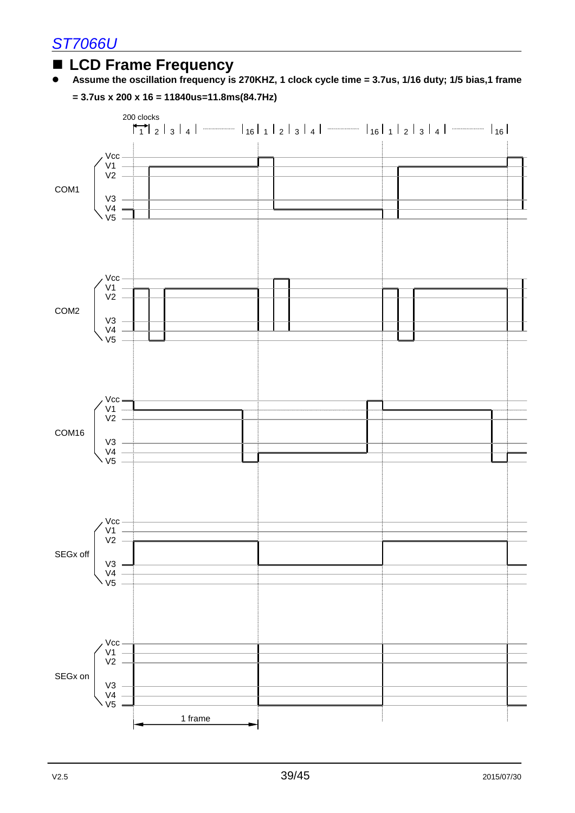### **LCD Frame Frequency**

**Assume the oscillation frequency is 270KHZ, 1 clock cycle time = 3.7us, 1/16 duty; 1/5 bias,1 frame** 



**= 3.7us x 200 x 16 = 11840us=11.8ms(84.7Hz)**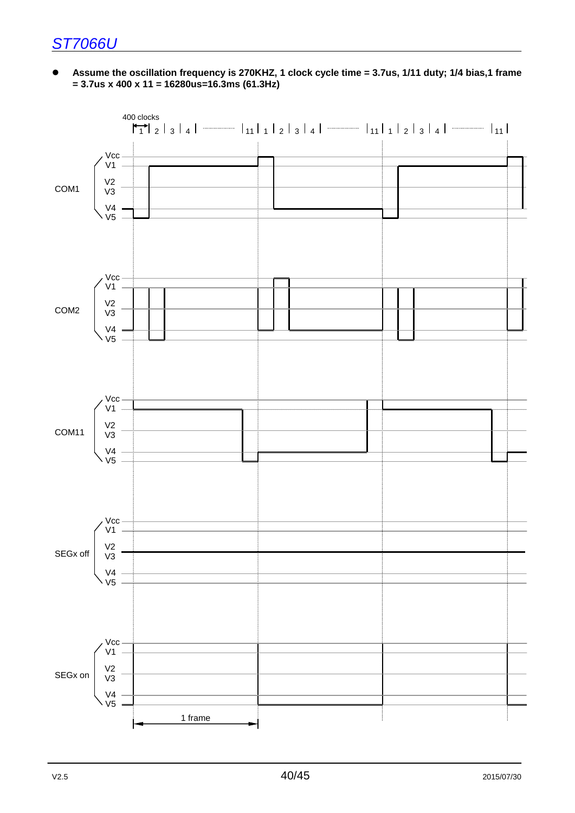**Assume the oscillation frequency is 270KHZ, 1 clock cycle time = 3.7us, 1/11 duty; 1/4 bias,1 frame = 3.7us x 400 x 11 = 16280us=16.3ms (61.3Hz)**

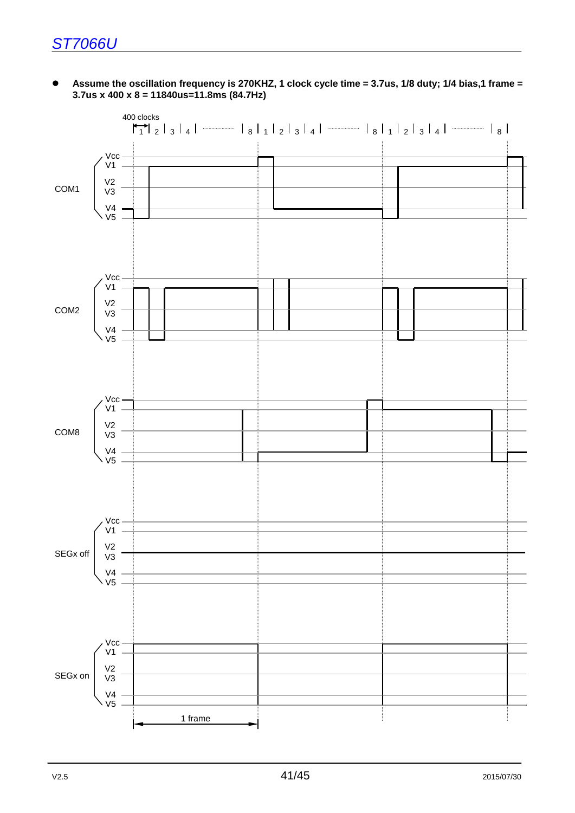#### **Assume the oscillation frequency is 270KHZ, 1 clock cycle time = 3.7us, 1/8 duty; 1/4 bias,1 frame = 3.7us x 400 x 8 = 11840us=11.8ms (84.7Hz)**

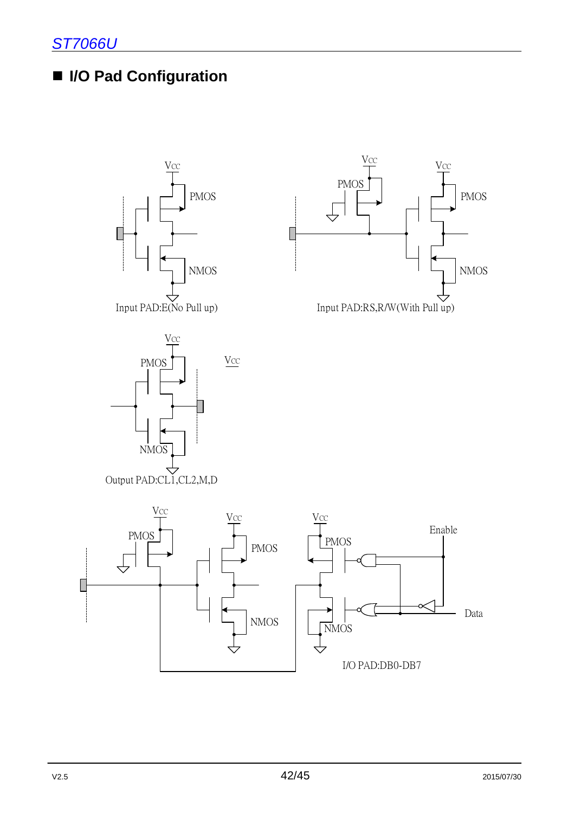### **I/O Pad Configuration**







Output PAD:CL1,CL2,M,D

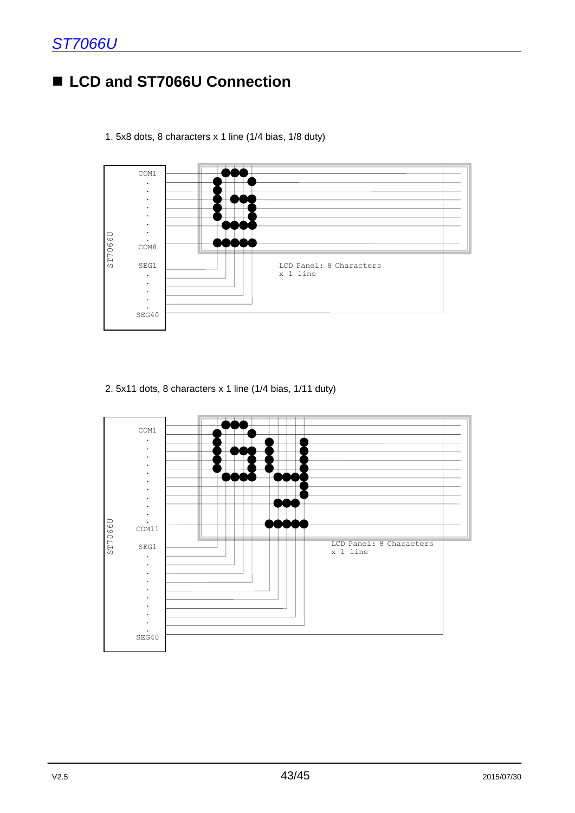### ■ LCD and ST7066U Connection





2. 5x11 dots, 8 characters x 1 line (1/4 bias, 1/11 duty)

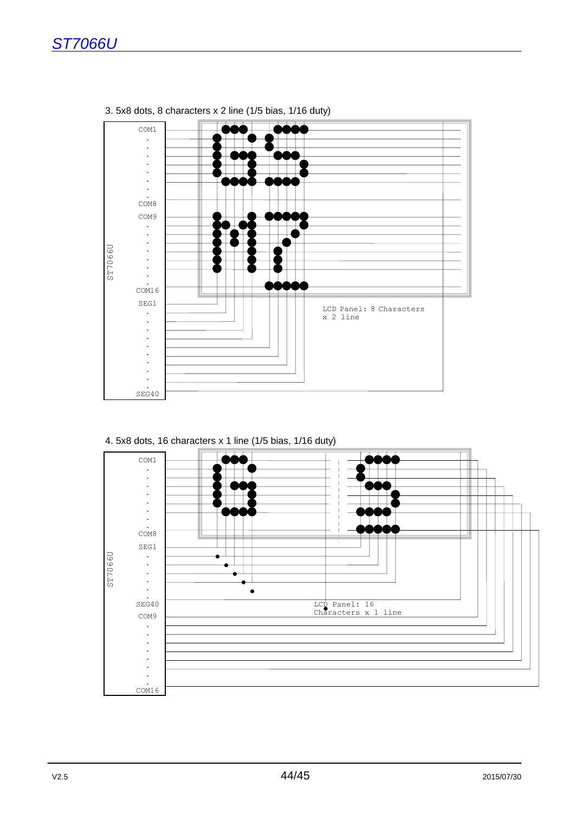

3. 5x8 dots, 8 characters x 2 line (1/5 bias, 1/16 duty)

4. 5x8 dots, 16 characters x 1 line (1/5 bias, 1/16 duty)